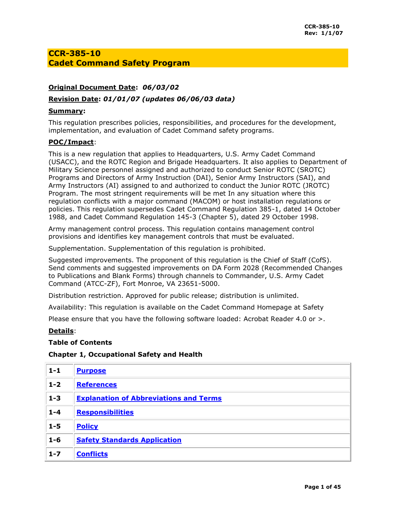## **CCR-385-10 Cadet Command Safety Program**

## **Original Document Date:** *06/03/02*

## **Revision Date:** *01/01/07 (updates 06/06/03 data)*

## **Summary:**

This regulation prescribes policies, responsibilities, and procedures for the development, implementation, and evaluation of Cadet Command safety programs.

## **POC/Impact**:

This is a new regulation that applies to Headquarters, U.S. Army Cadet Command (USACC), and the ROTC Region and Brigade Headquarters. It also applies to Department of Military Science personnel assigned and authorized to conduct Senior ROTC (SROTC) Programs and Directors of Army Instruction (DAI), Senior Army Instructors (SAI), and Army Instructors (AI) assigned to and authorized to conduct the Junior ROTC (JROTC) Program. The most stringent requirements will be met In any situation where this regulation conflicts with a major command (MACOM) or host installation regulations or policies. This regulation supersedes Cadet Command Regulation 385-1, dated 14 October 1988, and Cadet Command Regulation 145-3 (Chapter 5), dated 29 October 1998.

Army management control process. This regulation contains management control provisions and identifies key management controls that must be evaluated.

Supplementation. Supplementation of this regulation is prohibited.

Suggested improvements. The proponent of this regulation is the Chief of Staff (CofS). Send comments and suggested improvements on [DA Form 2028](http://www.apd.army.mil/pub/eforms/pdf/a2028.pdf) (Recommended Changes to Publications and Blank Forms) through channels to Commander, U.S. Army Cadet Command (ATCC-ZF), Fort Monroe, VA 23651-5000.

Distribution restriction. Approved for public release; distribution is unlimited.

Availability: This regulation is available on the Cadet Command Homepage at [Safety](http://www.rotc.monroe.army.mil/)

Please ensure that you have the following software loaded: Acrobat Reader 4.0 or >.

## **Details**:

## **Table of Contents**

## **Chapter 1, Occupational Safety and Health**

| $1 - 1$ | <b>Purpose</b>                                |
|---------|-----------------------------------------------|
| $1 - 2$ | <b>References</b>                             |
| $1 - 3$ | <b>Explanation of Abbreviations and Terms</b> |
| $1 - 4$ | <b>Responsibilities</b>                       |
| $1 - 5$ | <b>Policy</b>                                 |
| $1 - 6$ | <b>Safety Standards Application</b>           |
| $1 - 7$ | <b>Conflicts</b>                              |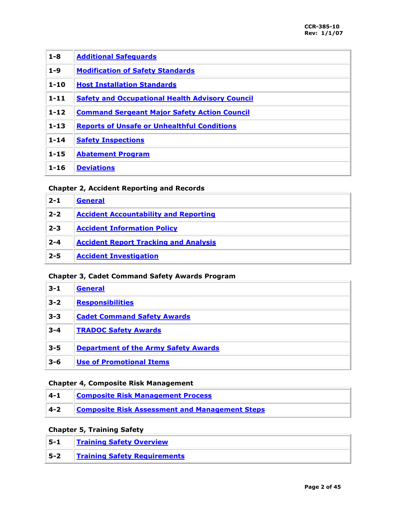| $1 - 8$  | <b>Additional Safeguards</b>                           |
|----------|--------------------------------------------------------|
| $1-9$    | <b>Modification of Safety Standards</b>                |
| $1 - 10$ | <b>Host Installation Standards</b>                     |
| $1 - 11$ | <b>Safety and Occupational Health Advisory Council</b> |
| $1 - 12$ | <b>Command Sergeant Major Safety Action Council</b>    |
| $1 - 13$ | <b>Reports of Unsafe or Unhealthful Conditions</b>     |
| $1 - 14$ | <b>Safety Inspections</b>                              |
| $1 - 15$ | <b>Abatement Program</b>                               |
| $1 - 16$ | <b>Deviations</b>                                      |

## **Chapter 2, Accident Reporting and Records**

| $2 - 1$ | <b>General</b>                               |
|---------|----------------------------------------------|
| $2 - 2$ | <b>Accident Accountability and Reporting</b> |
| $2 - 3$ | <b>Accident Information Policy</b>           |
| $2 - 4$ | <b>Accident Report Tracking and Analysis</b> |
| $2 - 5$ | <b>Accident Investigation</b>                |

## **Chapter 3, Cadet Command Safety Awards Program**

| $3 - 1$ | <b>General</b>                              |
|---------|---------------------------------------------|
| $3 - 2$ | <b>Responsibilities</b>                     |
| $3 - 3$ | <b>Cadet Command Safety Awards</b>          |
| $3 - 4$ | <b>TRADOC Safety Awards</b>                 |
| $3 - 5$ | <b>Department of the Army Safety Awards</b> |
| $3 - 6$ | <b>Use of Promotional Items</b>             |

## **Chapter 4, Composite Risk Management**

| $1 - 1$ | <b>Composite Risk Management Process</b>              |
|---------|-------------------------------------------------------|
| 4-2     | <b>Composite Risk Assessment and Management Steps</b> |

## **Chapter 5, Training Safety**

| ∣ 5-1 | <b>Training Safety Overview</b>     |
|-------|-------------------------------------|
| 5--2  | <b>Training Safety Requirements</b> |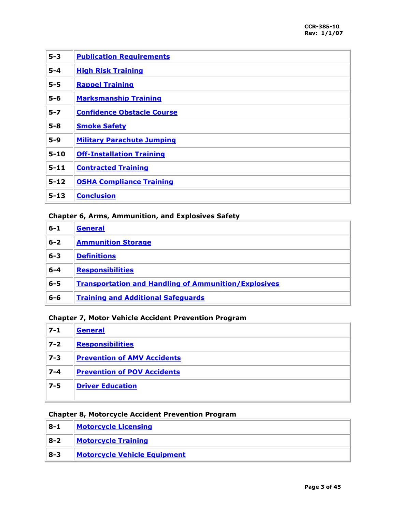| $5 - 3$  | <b>Publication Requirements</b>   |
|----------|-----------------------------------|
| $5 - 4$  | <b>High Risk Training</b>         |
| $5 - 5$  | <b>Rappel Training</b>            |
| $5-6$    | <b>Marksmanship Training</b>      |
| $5 - 7$  | <b>Confidence Obstacle Course</b> |
| $5-8$    | <b>Smoke Safety</b>               |
| $5 - 9$  | <b>Military Parachute Jumping</b> |
| $5 - 10$ | <b>Off-Installation Training</b>  |
| $5 - 11$ | <b>Contracted Training</b>        |
| $5 - 12$ | <b>OSHA Compliance Training</b>   |
| $5 - 13$ | <b>Conclusion</b>                 |

## **Chapter 6, Arms, Ammunition, and Explosives Safety**

| $6 - 1$ | General                                                     |
|---------|-------------------------------------------------------------|
| $6 - 2$ | <b>Ammunition Storage</b>                                   |
| $6 - 3$ | <b>Definitions</b>                                          |
| $6 - 4$ | <b>Responsibilities</b>                                     |
| $6 - 5$ | <b>Transportation and Handling of Ammunition/Explosives</b> |
| $6 - 6$ | <b>Training and Additional Safeguards</b>                   |

## **Chapter 7, Motor Vehicle Accident Prevention Program**

| $7 - 1$ | <b>General</b>                     |
|---------|------------------------------------|
| $7 - 2$ | <b>Responsibilities</b>            |
| $ 7-3 $ | <b>Prevention of AMV Accidents</b> |
| $7 - 4$ | <b>Prevention of POV Accidents</b> |
| $7 - 5$ | <b>Driver Education</b>            |
|         |                                    |

## **Chapter 8, Motorcycle Accident Prevention Program**

| $8 - 1$ | <b>Motorcycle Licensing</b>         |
|---------|-------------------------------------|
| $8-2$   | <b>Motorcycle Training</b>          |
| 8-3     | <b>Motorcycle Vehicle Equipment</b> |

÷.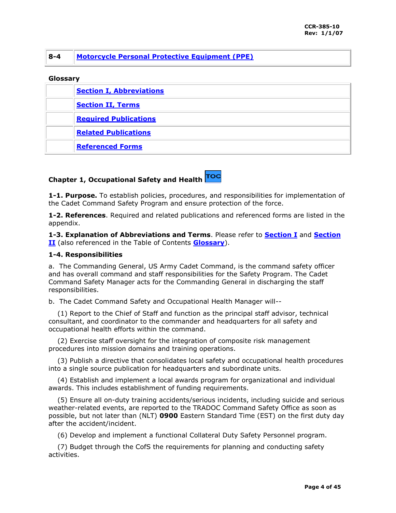## **8-4 [Motorcycle Personal Protective Equipment \(PPE\)](#page-37-1)**

## **Glossary**

| <b>Section I, Abbreviations</b> |
|---------------------------------|
| <b>Section II, Terms</b>        |
| <b>Required Publications</b>    |
| <b>Related Publications</b>     |
| <b>Referenced Forms</b>         |

## **Chapter 1, Occupational Safety and Health**

<span id="page-3-0"></span>**1-1. Purpose.** To establish policies, procedures, and responsibilities for implementation of the Cadet Command Safety Program and ensure protection of the force.

<span id="page-3-1"></span>**1-2. References**. Required and related publications and referenced forms are listed in the appendix.

<span id="page-3-2"></span>**1-3. Explanation of Abbreviations and Terms**. Please refer to **[Section I](#page-38-0)** and **[Section](#page-40-0)  [II](#page-40-0)** (also referenced in the Table of Contents **[Glossary](#page-38-0)**).

## <span id="page-3-3"></span>**1-4. Responsibilities**

a. The Commanding General, US Army Cadet Command, is the command safety officer and has overall command and staff responsibilities for the Safety Program. The Cadet Command Safety Manager acts for the Commanding General in discharging the staff responsibilities.

b. The Cadet Command Safety and Occupational Health Manager will--

 (1) Report to the Chief of Staff and function as the principal staff advisor, technical consultant, and coordinator to the commander and headquarters for all safety and occupational health efforts within the command.

 (2) Exercise staff oversight for the integration of composite risk management procedures into mission domains and training operations.

 (3) Publish a directive that consolidates local safety and occupational health procedures into a single source publication for headquarters and subordinate units.

 (4) Establish and implement a local awards program for organizational and individual awards. This includes establishment of funding requirements.

 (5) Ensure all on-duty training accidents/serious incidents, including suicide and serious weather-related events, are reported to the TRADOC Command Safety Office as soon as possible, but not later than (NLT) **0900** Eastern Standard Time (EST) on the first duty day after the accident/incident.

(6) Develop and implement a functional Collateral Duty Safety Personnel program.

 (7) Budget through the CofS the requirements for planning and conducting safety activities.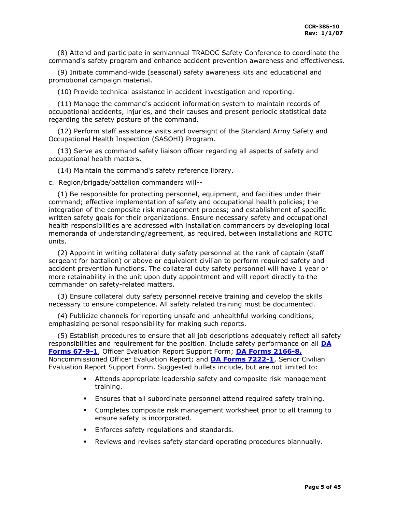(8) Attend and participate in semiannual TRADOC Safety Conference to coordinate the command's safety program and enhance accident prevention awareness and effectiveness.

 (9) Initiate command-wide (seasonal) safety awareness kits and educational and promotional campaign material.

(10) Provide technical assistance in accident investigation and reporting.

 (11) Manage the command's accident information system to maintain records of occupational accidents, injuries, and their causes and present periodic statistical data regarding the safety posture of the command.

 (12) Perform staff assistance visits and oversight of the Standard Army Safety and Occupational Health Inspection (SASOHI) Program.

 (13) Serve as command safety liaison officer regarding all aspects of safety and occupational health matters.

(14) Maintain the command's safety reference library.

c. Region/brigade/battalion commanders will--

 (1) Be responsible for protecting personnel, equipment, and facilities under their command; effective implementation of safety and occupational health policies; the integration of the composite risk management process; and establishment of specific written safety goals for their organizations. Ensure necessary safety and occupational health responsibilities are addressed with installation commanders by developing local memoranda of understanding/agreement, as required, between installations and ROTC units.

 (2) Appoint in writing collateral duty safety personnel at the rank of captain (staff sergeant for battalion) or above or equivalent civilian to perform required safety and accident prevention functions. The collateral duty safety personnel will have 1 year or more retainability in the unit upon duty appointment and will report directly to the commander on safety-related matters.

 (3) Ensure collateral duty safety personnel receive training and develop the skills necessary to ensure competence. All safety related training must be documented.

 (4) Publicize channels for reporting unsafe and unhealthful working conditions, emphasizing personal responsibility for making such reports.

 (5) Establish procedures to ensure that all job descriptions adequately reflect all safety responsibilities and requirement for the position. Include safety performance on all **[DA](http://www.apd.army.mil/pub/eforms/pdf/a67_9_1.pdf)  [Forms 67-9-1](http://www.apd.army.mil/pub/eforms/pdf/a67_9_1.pdf)**, Officer Evaluation Report Support Form; **[DA Forms 2166-8,](http://www.apd.army.mil/pub/eforms/pdf/a2166_8.pdf)** Noncommissioned Officer Evaluation Report; and **[DA Forms 7222-1](http://www.apd.army.mil/pub/eforms/pdf/a7222_1.pdf)**, Senior Civilian Evaluation Report Support Form. Suggested bullets include, but are not limited to:

- Attends appropriate leadership safety and composite risk management training.
- Ensures that all subordinate personnel attend required safety training.
- Completes composite risk management worksheet prior to all training to ensure safety is incorporated.
- Enforces safety regulations and standards.
- Reviews and revises safety standard operating procedures biannually.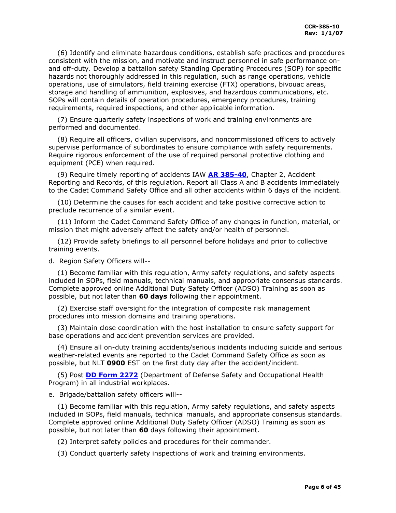(6) Identify and eliminate hazardous conditions, establish safe practices and procedures consistent with the mission, and motivate and instruct personnel in safe performance onand off-duty. Develop a battalion safety Standing Operating Procedures (SOP) for specific hazards not thoroughly addressed in this regulation, such as range operations, vehicle operations, use of simulators, field training exercise (FTX) operations, bivouac areas, storage and handling of ammunition, explosives, and hazardous communications, etc. SOPs will contain details of operation procedures, emergency procedures, training requirements, required inspections, and other applicable information.

 (7) Ensure quarterly safety inspections of work and training environments are performed and documented.

 (8) Require all officers, civilian supervisors, and noncommissioned officers to actively supervise performance of subordinates to ensure compliance with safety requirements. Require rigorous enforcement of the use of required personal protective clothing and equipment (PCE) when required.

 (9) Require timely reporting of accidents IAW **[AR 385-40](http://www.usapa.army.mil/pdffiles/r385_40.pdf)**, Chapter 2, Accident Reporting and Records, of this regulation. Report all Class A and B accidents immediately to the Cadet Command Safety Office and all other accidents within 6 days of the incident.

 (10) Determine the causes for each accident and take positive corrective action to preclude recurrence of a similar event.

 (11) Inform the Cadet Command Safety Office of any changes in function, material, or mission that might adversely affect the safety and/or health of personnel.

 (12) Provide safety briefings to all personnel before holidays and prior to collective training events.

d. Region Safety Officers will--

 (1) Become familiar with this regulation, Army safety regulations, and safety aspects included in SOPs, field manuals, technical manuals, and appropriate consensus standards. Complete approved online Additional Duty Safety Officer (ADSO) Training as soon as possible, but not later than **60 days** following their appointment.

 (2) Exercise staff oversight for the integration of composite risk management procedures into mission domains and training operations.

 (3) Maintain close coordination with the host installation to ensure safety support for base operations and accident prevention services are provided.

 (4) Ensure all on-duty training accidents/serious incidents including suicide and serious weather-related events are reported to the Cadet Command Safety Office as soon as possible, but NLT **0900** EST on the first duty day after the accident/incident.

 (5) Post **[DD Form 2272](http://www.dior.whs.mil/forms/DD2272.PDF)** (Department of Defense Safety and Occupational Health Program) in all industrial workplaces.

e. Brigade/battalion safety officers will--

 (1) Become familiar with this regulation, Army safety regulations, and safety aspects included in SOPs, field manuals, technical manuals, and appropriate consensus standards. Complete approved online Additional Duty Safety Officer (ADSO) Training as soon as possible, but not later than **60** days following their appointment.

(2) Interpret safety policies and procedures for their commander.

(3) Conduct quarterly safety inspections of work and training environments.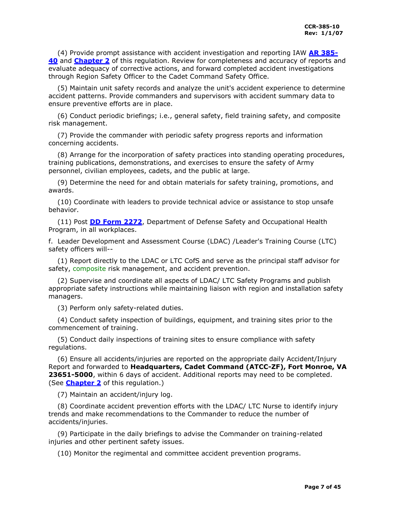(4) Provide prompt assistance with accident investigation and reporting IAW **[AR 385-](http://www.usapa.army.mil/pdffiles/r385_40.pdf) [40](http://www.usapa.army.mil/pdffiles/r385_40.pdf)** and **[Chapter 2](#page-13-1)** of this regulation. Review for completeness and accuracy of reports and evaluate adequacy of corrective actions, and forward completed accident investigations through Region Safety Officer to the Cadet Command Safety Office.

 (5) Maintain unit safety records and analyze the unit's accident experience to determine accident patterns. Provide commanders and supervisors with accident summary data to ensure preventive efforts are in place.

 (6) Conduct periodic briefings; i.e., general safety, field training safety, and composite risk management.

 (7) Provide the commander with periodic safety progress reports and information concerning accidents.

 (8) Arrange for the incorporation of safety practices into standing operating procedures, training publications, demonstrations, and exercises to ensure the safety of Army personnel, civilian employees, cadets, and the public at large.

 (9) Determine the need for and obtain materials for safety training, promotions, and awards.

 (10) Coordinate with leaders to provide technical advice or assistance to stop unsafe behavior.

 (11) Post **[DD Form 2272](http://www.dior.whs.mil/forms/DD2272.PDF)**, Department of Defense Safety and Occupational Health Program, in all workplaces.

f. Leader Development and Assessment Course (LDAC) /Leader's Training Course (LTC) safety officers will--

 (1) Report directly to the LDAC or LTC CofS and serve as the principal staff advisor for safety, composite risk management, and accident prevention.

 (2) Supervise and coordinate all aspects of LDAC/ LTC Safety Programs and publish appropriate safety instructions while maintaining liaison with region and installation safety managers.

(3) Perform only safety-related duties.

 (4) Conduct safety inspection of buildings, equipment, and training sites prior to the commencement of training.

 (5) Conduct daily inspections of training sites to ensure compliance with safety regulations.

 (6) Ensure all accidents/injuries are reported on the appropriate daily Accident/Injury Report and forwarded to **Headquarters, Cadet Command (ATCC-ZF), Fort Monroe, VA 23651-5000**, within 6 days of accident. Additional reports may need to be completed. (See **[Chapter 2](#page-13-1)** of this regulation.)

(7) Maintain an accident/injury log.

 (8) Coordinate accident prevention efforts with the LDAC/ LTC Nurse to identify injury trends and make recommendations to the Commander to reduce the number of accidents/injuries.

 (9) Participate in the daily briefings to advise the Commander on training-related injuries and other pertinent safety issues.

(10) Monitor the regimental and committee accident prevention programs.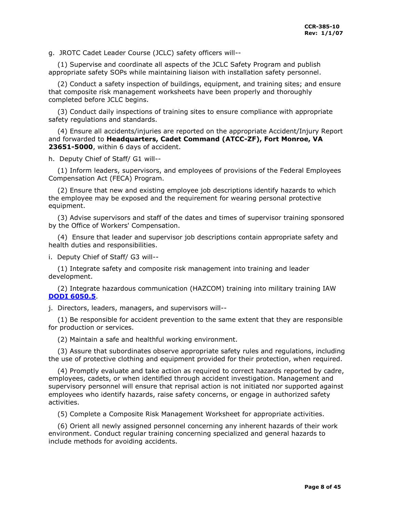g. JROTC Cadet Leader Course (JCLC) safety officers will--

 (1) Supervise and coordinate all aspects of the JCLC Safety Program and publish appropriate safety SOPs while maintaining liaison with installation safety personnel.

 (2) Conduct a safety inspection of buildings, equipment, and training sites; and ensure that composite risk management worksheets have been properly and thoroughly completed before JCLC begins.

 (3) Conduct daily inspections of training sites to ensure compliance with appropriate safety regulations and standards.

 (4) Ensure all accidents/injuries are reported on the appropriate Accident/Injury Report and forwarded to **Headquarters, Cadet Command (ATCC-ZF), Fort Monroe, VA 23651-5000**, within 6 days of accident.

h. Deputy Chief of Staff/ G1 will--

 (1) Inform leaders, supervisors, and employees of provisions of the Federal Employees Compensation Act (FECA) Program.

 (2) Ensure that new and existing employee job descriptions identify hazards to which the employee may be exposed and the requirement for wearing personal protective equipment.

 (3) Advise supervisors and staff of the dates and times of supervisor training sponsored by the Office of Workers' Compensation.

 (4) Ensure that leader and supervisor job descriptions contain appropriate safety and health duties and responsibilities.

i. Deputy Chief of Staff/ G3 will--

 (1) Integrate safety and composite risk management into training and leader development.

 (2) Integrate hazardous communication (HAZCOM) training into military training IAW **[DODI 6050.5](http://www.gulflink.osd.mil/carc_paint_ii/carc_paint_ii_refs/n43en204/60505.html)**.

j. Directors, leaders, managers, and supervisors will--

 (1) Be responsible for accident prevention to the same extent that they are responsible for production or services.

(2) Maintain a safe and healthful working environment.

 (3) Assure that subordinates observe appropriate safety rules and regulations, including the use of protective clothing and equipment provided for their protection, when required.

 (4) Promptly evaluate and take action as required to correct hazards reported by cadre, employees, cadets, or when identified through accident investigation. Management and supervisory personnel will ensure that reprisal action is not initiated nor supported against employees who identify hazards, raise safety concerns, or engage in authorized safety activities.

(5) Complete a Composite Risk Management Worksheet for appropriate activities.

 (6) Orient all newly assigned personnel concerning any inherent hazards of their work environment. Conduct regular training concerning specialized and general hazards to include methods for avoiding accidents.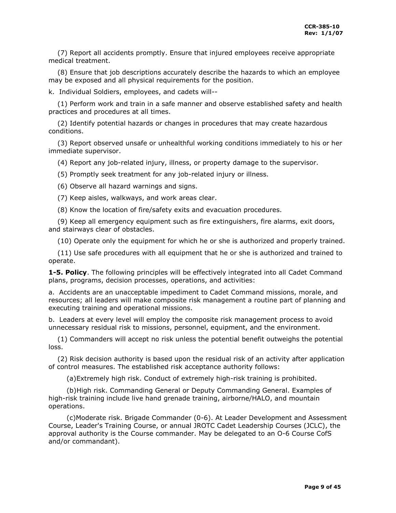(7) Report all accidents promptly. Ensure that injured employees receive appropriate medical treatment.

 (8) Ensure that job descriptions accurately describe the hazards to which an employee may be exposed and all physical requirements for the position.

k. Individual Soldiers, employees, and cadets will--

 (1) Perform work and train in a safe manner and observe established safety and health practices and procedures at all times.

 (2) Identify potential hazards or changes in procedures that may create hazardous conditions.

 (3) Report observed unsafe or unhealthful working conditions immediately to his or her immediate supervisor.

(4) Report any job-related injury, illness, or property damage to the supervisor.

(5) Promptly seek treatment for any job-related injury or illness.

(6) Observe all hazard warnings and signs.

(7) Keep aisles, walkways, and work areas clear.

(8) Know the location of fire/safety exits and evacuation procedures.

 (9) Keep all emergency equipment such as fire extinguishers, fire alarms, exit doors, and stairways clear of obstacles.

(10) Operate only the equipment for which he or she is authorized and properly trained.

 (11) Use safe procedures with all equipment that he or she is authorized and trained to operate.

<span id="page-8-0"></span>**1-5. Policy**. The following principles will be effectively integrated into all Cadet Command plans, programs, decision processes, operations, and activities:

a. Accidents are an unacceptable impediment to Cadet Command missions, morale, and resources; all leaders will make composite risk management a routine part of planning and executing training and operational missions.

b. Leaders at every level will employ the composite risk management process to avoid unnecessary residual risk to missions, personnel, equipment, and the environment.

 (1) Commanders will accept no risk unless the potential benefit outweighs the potential loss.

 (2) Risk decision authority is based upon the residual risk of an activity after application of control measures. The established risk acceptance authority follows:

(a)Extremely high risk. Conduct of extremely high-risk training is prohibited.

 (b)High risk. Commanding General or Deputy Commanding General. Examples of high-risk training include live hand grenade training, airborne/HALO, and mountain operations.

 (c)Moderate risk. Brigade Commander (0-6). At Leader Development and Assessment Course, Leader's Training Course, or annual JROTC Cadet Leadership Courses (JCLC), the approval authority is the Course commander. May be delegated to an O-6 Course CofS and/or commandant).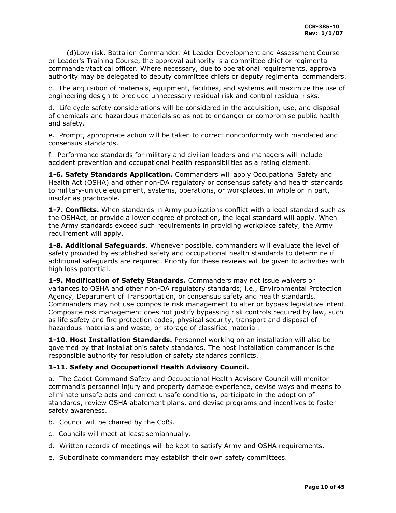(d)Low risk. Battalion Commander. At Leader Development and Assessment Course or Leader's Training Course, the approval authority is a committee chief or regimental commander/tactical officer. Where necessary, due to operational requirements, approval authority may be delegated to deputy committee chiefs or deputy regimental commanders.

c. The acquisition of materials, equipment, facilities, and systems will maximize the use of engineering design to preclude unnecessary residual risk and control residual risks.

d. Life cycle safety considerations will be considered in the acquisition, use, and disposal of chemicals and hazardous materials so as not to endanger or compromise public health and safety.

e. Prompt, appropriate action will be taken to correct nonconformity with mandated and consensus standards.

f. Performance standards for military and civilian leaders and managers will include accident prevention and occupational health responsibilities as a rating element.

<span id="page-9-0"></span>**1-6. Safety Standards Application.** Commanders will apply Occupational Safety and Health Act (OSHA) and other non-DA regulatory or consensus safety and health standards to military-unique equipment, systems, operations, or workplaces, in whole or in part, insofar as practicable.

<span id="page-9-1"></span>**1-7. Conflicts.** When standards in Army publications conflict with a legal standard such as the OSHAct, or provide a lower degree of protection, the legal standard will apply. When the Army standards exceed such requirements in providing workplace safety, the Army requirement will apply.

<span id="page-9-2"></span>**1-8. Additional Safeguards**. Whenever possible, commanders will evaluate the level of safety provided by established safety and occupational health standards to determine if additional safeguards are required. Priority for these reviews will be given to activities with high loss potential.

<span id="page-9-3"></span>**1-9. Modification of Safety Standards.** Commanders may not issue waivers or variances to OSHA and other non-DA regulatory standards; i.e., Environmental Protection Agency, Department of Transportation, or consensus safety and health standards. Commanders may not use composite risk management to alter or bypass legislative intent. Composite risk management does not justify bypassing risk controls required by law, such as life safety and fire protection codes, physical security, transport and disposal of hazardous materials and waste, or storage of classified material.

<span id="page-9-4"></span>**1-10. Host Installation Standards.** Personnel working on an installation will also be governed by that installation's safety standards. The host installation commander is the responsible authority for resolution of safety standards conflicts.

## <span id="page-9-5"></span>**1-11. Safety and Occupational Health Advisory Council.**

a. The Cadet Command Safety and Occupational Health Advisory Council will monitor command's personnel injury and property damage experience, devise ways and means to eliminate unsafe acts and correct unsafe conditions, participate in the adoption of standards, review OSHA abatement plans, and devise programs and incentives to foster safety awareness.

- b. Council will be chaired by the CofS.
- c. Councils will meet at least semiannually.
- d. Written records of meetings will be kept to satisfy Army and OSHA requirements.
- e. Subordinate commanders may establish their own safety committees.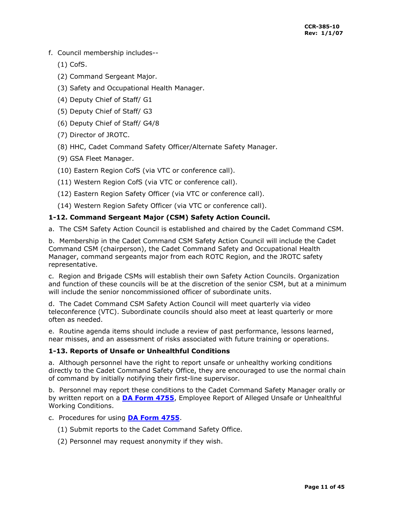- f. Council membership includes--
	- (1) CofS.
	- (2) Command Sergeant Major.
	- (3) Safety and Occupational Health Manager.
	- (4) Deputy Chief of Staff/ G1
	- (5) Deputy Chief of Staff/ G3
	- (6) Deputy Chief of Staff/ G4/8
	- (7) Director of JROTC.
	- (8) HHC, Cadet Command Safety Officer/Alternate Safety Manager.
	- (9) GSA Fleet Manager.
	- (10) Eastern Region CofS (via VTC or conference call).
	- (11) Western Region CofS (via VTC or conference call).
	- (12) Eastern Region Safety Officer (via VTC or conference call).
	- (14) Western Region Safety Officer (via VTC or conference call).

## <span id="page-10-0"></span>**1-12. Command Sergeant Major (CSM) Safety Action Council.**

a. The CSM Safety Action Council is established and chaired by the Cadet Command CSM.

b. Membership in the Cadet Command CSM Safety Action Council will include the Cadet Command CSM (chairperson), the Cadet Command Safety and Occupational Health Manager, command sergeants major from each ROTC Region, and the JROTC safety representative.

c. Region and Brigade CSMs will establish their own Safety Action Councils. Organization and function of these councils will be at the discretion of the senior CSM, but at a minimum will include the senior noncommissioned officer of subordinate units.

d. The Cadet Command CSM Safety Action Council will meet quarterly via video teleconference (VTC). Subordinate councils should also meet at least quarterly or more often as needed.

e. Routine agenda items should include a review of past performance, lessons learned, near misses, and an assessment of risks associated with future training or operations.

## <span id="page-10-1"></span>**1-13. Reports of Unsafe or Unhealthful Conditions**

a. Although personnel have the right to report unsafe or unhealthy working conditions directly to the Cadet Command Safety Office, they are encouraged to use the normal chain of command by initially notifying their first-line supervisor.

b. Personnel may report these conditions to the Cadet Command Safety Manager orally or by written report on a **[DA Form 4755](http://www.apd.army.mil/pub/eforms/pdf/a4755.pdf)**, Employee Report of Alleged Unsafe or Unhealthful Working Conditions.

- c. Procedures for using **[DA Form 4755](http://www.apd.army.mil/pub/eforms/pdf/a4755.pdf)**.
	- (1) Submit reports to the Cadet Command Safety Office.
	- (2) Personnel may request anonymity if they wish.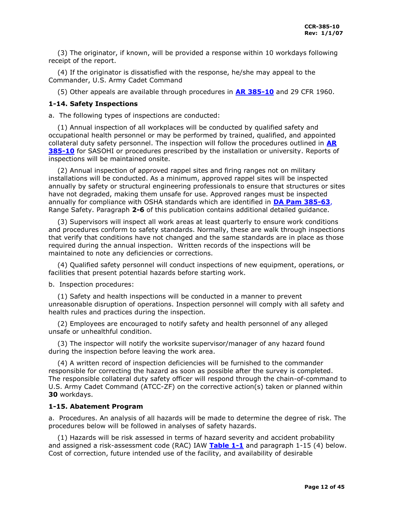(3) The originator, if known, will be provided a response within 10 workdays following receipt of the report.

 (4) If the originator is dissatisfied with the response, he/she may appeal to the Commander, U.S. Army Cadet Command

(5) Other appeals are available through procedures in **[AR 385-10](http://www.usapa.army.mil/pdffiles/r385_10.pdf)** and 29 CFR 1960.

## <span id="page-11-0"></span>**1-14. Safety Inspections**

a. The following types of inspections are conducted:

 (1) Annual inspection of all workplaces will be conducted by qualified safety and occupational health personnel or may be performed by trained, qualified, and appointed collateral duty safety personnel. The inspection will follow the procedures outlined in **[AR](http://www.usapa.army.mil/pdffiles/r385_10.pdf)  [385-10](http://www.usapa.army.mil/pdffiles/r385_10.pdf)** for SASOHI or procedures prescribed by the installation or university. Reports of inspections will be maintained onsite.

 (2) Annual inspection of approved rappel sites and firing ranges not on military installations will be conducted. As a minimum, approved rappel sites will be inspected annually by safety or structural engineering professionals to ensure that structures or sites have not degraded, making them unsafe for use. Approved ranges must be inspected annually for compliance with OSHA standards which are identified in **[DA Pam](http://www.usapa.army.mil/pdffiles/r385_63.pdf) 385-63**, Range Safety. Paragraph **2-6** of this publication contains additional detailed guidance.

 (3) Supervisors will inspect all work areas at least quarterly to ensure work conditions and procedures conform to safety standards. Normally, these are walk through inspections that verify that conditions have not changed and the same standards are in place as those required during the annual inspection. Written records of the inspections will be maintained to note any deficiencies or corrections.

 (4) Qualified safety personnel will conduct inspections of new equipment, operations, or facilities that present potential hazards before starting work.

b. Inspection procedures:

 (1) Safety and health inspections will be conducted in a manner to prevent unreasonable disruption of operations. Inspection personnel will comply with all safety and health rules and practices during the inspection.

 (2) Employees are encouraged to notify safety and health personnel of any alleged unsafe or unhealthful condition.

 (3) The inspector will notify the worksite supervisor/manager of any hazard found during the inspection before leaving the work area.

 (4) A written record of inspection deficiencies will be furnished to the commander responsible for correcting the hazard as soon as possible after the survey is completed. The responsible collateral duty safety officer will respond through the chain-of-command to U.S. Army Cadet Command (ATCC-ZF) on the corrective action(s) taken or planned within **30** workdays.

## <span id="page-11-1"></span>**1-15. Abatement Program**

a. Procedures. An analysis of all hazards will be made to determine the degree of risk. The procedures below will be followed in analyses of safety hazards.

 (1) Hazards will be risk assessed in terms of hazard severity and accident probability and assigned a risk-assessment code (RAC) IAW **[Table 1-1](#page-12-0)** and paragraph 1-15 (4) below. Cost of correction, future intended use of the facility, and availability of desirable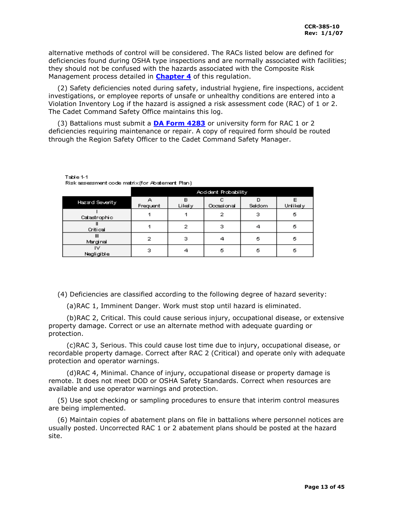alternative methods of control will be considered. The RACs listed below are defined for deficiencies found during OSHA type inspections and are normally associated with facilities; they should not be confused with the hazards associated with the Composite Risk Management process detailed in **[Chapter 4](#page-21-0)** of this regulation.

 (2) Safety deficiencies noted during safety, industrial hygiene, fire inspections, accident investigations, or employee reports of unsafe or unhealthy conditions are entered into a Violation Inventory Log if the hazard is assigned a risk assessment code (RAC) of 1 or 2. The Cadet Command Safety Office maintains this log.

 (3) Battalions must submit a **[DA Form 4283](http://www.apd.army.mil/pub/eforms/pdf/a4283.pdf)** or university form for RAC 1 or 2 deficiencies requiring maintenance or repair. A copy of required form should be routed through the Region Safety Officer to the Cadet Command Safety Manager.

Table 1-1

<span id="page-12-0"></span>

| Risk assessment code matrix(for Abatement Plan) |  |  |  |
|-------------------------------------------------|--|--|--|
|                                                 |  |  |  |

|                        | Accident Probability |             |                 |             |          |
|------------------------|----------------------|-------------|-----------------|-------------|----------|
| <b>Hazard Severity</b> | А<br>Frequent        | в<br>Likely | c<br>Occasional | n<br>Seldom | Unlikely |
| Catastrophic           |                      |             | 2               | з           | 5        |
| Critical               |                      | 2           | з               |             | 5        |
| Ш<br>Marginal          | 2                    | з           |                 | 5           | 5        |
| ľν<br>Negligible       | з                    |             | 5               | 5           | 5        |

(4) Deficiencies are classified according to the following degree of hazard severity:

(a)RAC 1, Imminent Danger. Work must stop until hazard is eliminated.

 (b)RAC 2, Critical. This could cause serious injury, occupational disease, or extensive property damage. Correct or use an alternate method with adequate guarding or protection.

 (c)RAC 3, Serious. This could cause lost time due to injury, occupational disease, or recordable property damage. Correct after RAC 2 (Critical) and operate only with adequate protection and operator warnings.

 (d)RAC 4, Minimal. Chance of injury, occupational disease or property damage is remote. It does not meet DOD or OSHA Safety Standards. Correct when resources are available and use operator warnings and protection.

 (5) Use spot checking or sampling procedures to ensure that interim control measures are being implemented.

 (6) Maintain copies of abatement plans on file in battalions where personnel notices are usually posted. Uncorrected RAC 1 or 2 abatement plans should be posted at the hazard site.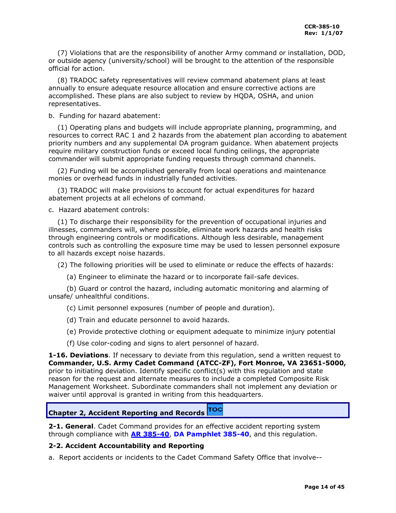(7) Violations that are the responsibility of another Army command or installation, DOD, or outside agency (university/school) will be brought to the attention of the responsible official for action.

 (8) TRADOC safety representatives will review command abatement plans at least annually to ensure adequate resource allocation and ensure corrective actions are accomplished. These plans are also subject to review by HQDA, OSHA, and union representatives.

b. Funding for hazard abatement:

 (1) Operating plans and budgets will include appropriate planning, programming, and resources to correct RAC 1 and 2 hazards from the abatement plan according to abatement priority numbers and any supplemental DA program guidance. When abatement projects require military construction funds or exceed local funding ceilings, the appropriate commander will submit appropriate funding requests through command channels.

 (2) Funding will be accomplished generally from local operations and maintenance monies or overhead funds in industrially funded activities.

 (3) TRADOC will make provisions to account for actual expenditures for hazard abatement projects at all echelons of command.

c. Hazard abatement controls:

 (1) To discharge their responsibility for the prevention of occupational injuries and illnesses, commanders will, where possible, eliminate work hazards and health risks through engineering controls or modifications. Although less desirable, management controls such as controlling the exposure time may be used to lessen personnel exposure to all hazards except noise hazards.

(2) The following priorities will be used to eliminate or reduce the effects of hazards:

(a) Engineer to eliminate the hazard or to incorporate fail-safe devices.

 (b) Guard or control the hazard, including automatic monitoring and alarming of unsafe/ unhealthful conditions.

(c) Limit personnel exposures (number of people and duration).

(d) Train and educate personnel to avoid hazards.

(e) Provide protective clothing or equipment adequate to minimize injury potential

(f) Use color-coding and signs to alert personnel of hazard.

<span id="page-13-0"></span>**1-16. Deviations**. If necessary to deviate from this regulation, send a written request to **Commander, U.S. Army Cadet Command (ATCC-ZF), Fort Monroe, VA 23651-5000,** prior to initiating deviation. Identify specific conflict(s) with this regulation and state reason for the request and alternate measures to include a completed Composite Risk Management Worksheet. Subordinate commanders shall not implement any deviation or waiver until approval is granted in writing from this headquarters.

#### **TOC Chapter 2, Accident Reporting and Records**

<span id="page-13-1"></span>**2-1. General**. Cadet Command provides for an effective accident reporting system through compliance with **[AR 385-40](http://www.usapa.army.mil/pdffiles/r385_40.pdf)**, **DA Pamphlet 385-40**, and this regulation.

## <span id="page-13-2"></span>**2-2. Accident Accountability and Reporting**

a. Report accidents or incidents to the Cadet Command Safety Office that involve--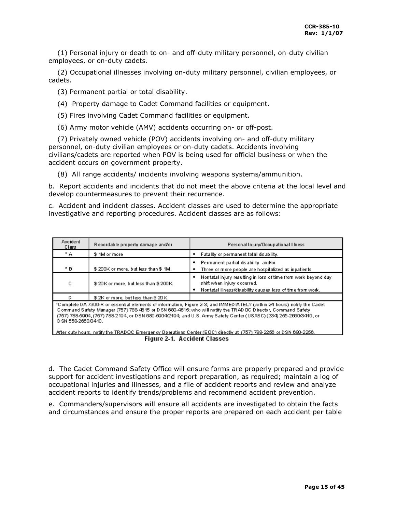(1) Personal injury or death to on- and off-duty military personnel, on-duty civilian employees, or on-duty cadets.

 (2) Occupational illnesses involving on-duty military personnel, civilian employees, or cadets.

(3) Permanent partial or total disability.

- (4) Property damage to Cadet Command facilities or equipment.
- (5) Fires involving Cadet Command facilities or equipment.

(6) Army motor vehicle (AMV) accidents occurring on- or off-post.

 (7) Privately owned vehicle (POV) accidents involving on- and off-duty military personnel, on-duty civilian employees or on-duty cadets. Accidents involving civilians/cadets are reported when POV is being used for official business or when the accident occurs on government property.

(8) All range accidents/ incidents involving weapons systems/ammunition.

b. Report accidents and incidents that do not meet the above criteria at the local level and develop countermeasures to prevent their recurrence.

c. Accident and incident classes. Accident classes are used to determine the appropriate investigative and reporting procedures. Accident classes are as follows:

| Accident<br>Class   | Recordable property damage and/or    | Personal Injury/Occupational Illness                                                                                                                                                                                                                                                                                                                            |  |
|---------------------|--------------------------------------|-----------------------------------------------------------------------------------------------------------------------------------------------------------------------------------------------------------------------------------------------------------------------------------------------------------------------------------------------------------------|--|
| * A :               | \$1M or more                         | Fatality or permanent total disability.                                                                                                                                                                                                                                                                                                                         |  |
| * B                 | \$200K or more, but less than \$1M.  | Permanent partial disability and/or<br>Three or more people are hospitalized as inpatients.                                                                                                                                                                                                                                                                     |  |
| с                   | \$20K or more, but less than \$200K. | Nonfatal injury resulting in loss of time from work beyond day.<br>٠<br>shift when injury occurred.<br>Nonfatal illness/disability dauses loss of time from work.<br>٠                                                                                                                                                                                          |  |
| D                   | \$2K or more, but less than \$20K.   |                                                                                                                                                                                                                                                                                                                                                                 |  |
| D SN 558-2660/3410. |                                      | *Complete DA 7306-R or essential elements of information, Figure 2-3; and IMMED IATELY (within 24 hours) notify the Cadet<br>Command Safety Manager (757) 788-4615 or DISN 680-4615; who will notify the TRIAD OC Director, Command Safety<br>(757) 788-5904, (757) 788-2194, or DSN 680-5904/2194; and U.S. Army Safety Center (USASC) (334) 255-2660/3410, or |  |

After duty hours, notify the TRADOC Emergency Operations Center (EOC) directly at (757) 788-2256 or DSN 680-2256. Figure 2-1. Accident Classes

d. The Cadet Command Safety Office will ensure forms are properly prepared and provide support for accident investigations and report preparation, as required; maintain a log of occupational injuries and illnesses, and a file of accident reports and review and analyze accident reports to identify trends/problems and recommend accident prevention.

e. Commanders/supervisors will ensure all accidents are investigated to obtain the facts and circumstances and ensure the proper reports are prepared on each accident per table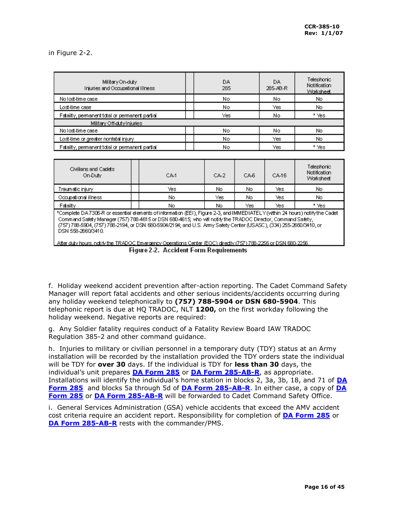<span id="page-15-0"></span>in Figure 2-2.

| Military On-duty<br>Injuries and Occupational Illness | DA.<br>285 | DA.<br>285-AB-R | Telephonic<br>Notification<br>Worksheet |
|-------------------------------------------------------|------------|-----------------|-----------------------------------------|
| No lost-time case                                     | No         | No              | No.                                     |
| Lost-time case                                        | No         | Yes             | No.                                     |
| Fatality, permanent total or permanent partial        | Yes        | No              | * Yes                                   |
| Military Off-duty Injuries                            |            |                 |                                         |
| No lost-time case                                     | No         | No              | No                                      |
| Lost-time or greater nonfatal injury                  | No         | Yes             | No.                                     |
| Fatality, permanent total or permanent partial        | No         | Yes             | * Yes                                   |

| Civilians and Cadets<br>On-Duty | CA-1 | CA-2<br>CA-6 |      | CA-16 | Telephonic i<br><b>Notification</b><br>Worksheet |
|---------------------------------|------|--------------|------|-------|--------------------------------------------------|
| Traumatic injury i              | Yes  | No.          | No.  | Yes   | No                                               |
| Occupational illness            | No   | Yes          | No.  | Yes   | No                                               |
| Fatality                        | No   | No.          | Yes: | Yes   | * Yes                                            |

\*Complete DA 7306-R or essertial elements of information (EEI), Figure 2-3, and IMMEDIATELY (within 24 hours) notify the Cadet Command Safety Manager (757) 788-4615 or DSN 680-4615; who will notify the TRADOC Director, Command Safety, (757) 788-5904, (757) 788-2194, or DSN 680-5904/2194; and U.S. Army Safety Center (USASC), (334) 255-2660/3410, or DSN 558-2660/3410.

Figure 2-2. Accident Form Requirements

f. Holiday weekend accident prevention after-action reporting. The Cadet Command Safety Manager will report fatal accidents and other serious incidents/accidents occurring during any holiday weekend telephonically to **(757) 788-5904 or DSN 680-5904**. This telephonic report is due at HQ TRADOC, NLT **1200,** on the first workday following the holiday weekend. Negative reports are required:

g. Any Soldier fatality requires conduct of a Fatality Review Board IAW TRADOC Regulation 385-2 and other command guidance.

h. Injuries to military or civilian personnel in a temporary duty (TDY) status at an Army installation will be recorded by the installation provided the TDY orders state the individual will be TDY for **over 30** days. If the individual is TDY for **less than 30** days, the individual's unit prepares **[DA Form 285](http://www.apd.army.mil/pub/eforms/pdf/a285a.pdf)** or **[DA Form 285-AB-R](http://www.apd.army.mil/pub/eforms/pdf/a285ab_r.pdf)**, as appropriate. Installations will identify the individual's home station in blocks 2, 3a, 3b, 18, and 71 of **[DA](http://www.apd.army.mil/pub/eforms/pdf/a285a.pdf)  [Form 285](http://www.apd.army.mil/pub/eforms/pdf/a285a.pdf)** and blocks 5a through 5d of **[DA Form 285-AB-R](http://www.apd.army.mil/pub/eforms/pdf/a285ab_r.pdf)**. In either case, a copy of **[DA](http://www.apd.army.mil/pub/eforms/pdf/a285a.pdf)  [Form 285](http://www.apd.army.mil/pub/eforms/pdf/a285a.pdf)** or **[DA Form 285-AB-R](http://www.apd.army.mil/pub/eforms/pdf/a285ab_r.pdf)** will be forwarded to Cadet Command Safety Office.

i. General Services Administration (GSA) vehicle accidents that exceed the AMV accident cost criteria require an accident report. Responsibility for completion of **[DA Form 285](http://www.apd.army.mil/pub/eforms/pdf/a285a.pdf)** or **[DA Form 285-AB-R](http://www.apd.army.mil/pub/eforms/pdf/a285ab_r.pdf)** rests with the commander/PMS.

After duty hours, notify the TRADOC Emergency Operations Center (EOC) directly (757) 788-2256 or DSN 680-2256.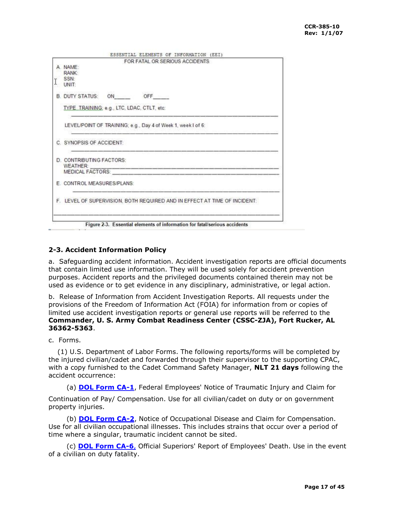| FOR FATAL OR SERIOUS ACCIDENTS                                            |
|---------------------------------------------------------------------------|
| A NAME:                                                                   |
| RANK:                                                                     |
| SSN:<br>$I_{\text{UNIT}}$                                                 |
|                                                                           |
| B. DUTY STATUS: ON OFF                                                    |
| TYPE_TRAINING; e.g., LTC, LDAC, CTLT, etc:                                |
| LEVEL/POINT OF TRAINING; e.g., Day 4 of Week 1, week I of 6:              |
| C. SYNOPSIS OF ACCIDENT:                                                  |
| <b>D. CONTRIBUTING FACTORS:</b>                                           |
| <b>WEATHER:</b>                                                           |
|                                                                           |
| E. CONTROL MEASURES/PLANS:                                                |
| F. LEVEL OF SUPERVISION, BOTH REQUIRED AND IN EFFECT AT TIME OF INCIDENT: |
|                                                                           |
|                                                                           |
| Figure 2-3. Essential elements of information for fatal/serious accidents |

## <span id="page-16-0"></span>**2-3. Accident Information Policy**

a. Safeguarding accident information. Accident investigation reports are official documents that contain limited use information. They will be used solely for accident prevention purposes. Accident reports and the privileged documents contained therein may not be used as evidence or to get evidence in any disciplinary, administrative, or legal action.

b. Release of Information from Accident Investigation Reports. All requests under the provisions of the Freedom of Information Act (FOIA) for information from or copies of limited use accident investigation reports or general use reports will be referred to the **Commander, U. S. Army Combat Readiness Center (CSSC-ZJA), Fort Rucker, AL 36362-5363**.

c. Forms.

 (1) U.S. Department of Labor Forms. The following reports/forms will be completed by the injured civilian/cadet and forwarded through their supervisor to the supporting CPAC, with a copy furnished to the Cadet Command Safety Manager, **NLT 21 days** following the accident occurrence:

(a) **[DOL Form CA-1](http://www.dol.gov/esa/regs/compliance/owcp/ca-1.pdf)**, Federal Employees' Notice of Traumatic Injury and Claim for

Continuation of Pay/ Compensation. Use for all civilian/cadet on duty or on government property injuries.

 (b) **[DOL Form CA-2](http://www.dol.gov/esa/regs/compliance/owcp/ca-2.pdf)**, Notice of Occupational Disease and Claim for Compensation. Use for all civilian occupational illnesses. This includes strains that occur over a period of time where a singular, traumatic incident cannot be sited.

 (c) **[DOL Form CA-6](http://www.dol.gov/esa/regs/compliance/owcp/ca-6.pdf)**, Official Superiors' Report of Employees' Death. Use in the event of a civilian on duty fatality.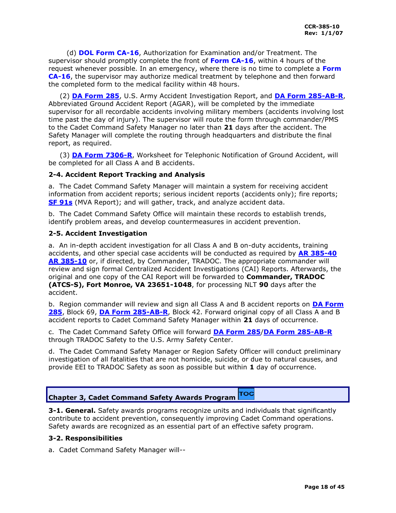(d) **DOL Form CA-16**, Authorization for Examination and/or Treatment. The supervisor should promptly complete the front of **Form CA-16**, within 4 hours of the request whenever possible. In an emergency, where there is no time to complete a **Form CA-16**, the supervisor may authorize medical treatment by telephone and then forward the completed form to the medical facility within 48 hours.

 (2) **[DA Form 285](http://www.apd.army.mil/pub/eforms/pdf/a285a.pdf)**, U.S. Army Accident Investigation Report, and **[DA Form 285-AB-R](http://www.apd.army.mil/pub/eforms/pdf/a285ab_r.pdf)**, Abbreviated Ground Accident Report (AGAR), will be completed by the immediate supervisor for all recordable accidents involving military members (accidents involving lost time past the day of injury). The supervisor will route the form through commander/PMS to the Cadet Command Safety Manager no later than **21** days after the accident. The Safety Manager will complete the routing through headquarters and distribute the final report, as required.

 (3) **[DA Form 7306-R](http://www.apd.army.mil/pub/eforms/pdf/a7306_r.pdf)**, Worksheet for Telephonic Notification of Ground Accident, will be completed for all Class A and B accidents.

## <span id="page-17-0"></span>**2-4. Accident Report Tracking and Analysis**

a. The Cadet Command Safety Manager will maintain a system for receiving accident information from accident reports; serious incident reports (accidents only); fire reports; **[SF 91s](http://www.army.mil/usapa/eforms/pdf/S91.PDF)** (MVA Report); and will gather, track, and analyze accident data.

b. The Cadet Command Safety Office will maintain these records to establish trends, identify problem areas, and develop countermeasures in accident prevention.

## <span id="page-17-1"></span>**2-5. Accident Investigation**

a. An in-depth accident investigation for all Class A and B on-duty accidents, training accidents, and other special case accidents will be conducted as required by **[AR 385-40](http://www.usapa.army.mil/pdffiles/r385_40.pdf) AR 385-10** or, if directed, by Commander, TRADOC. The appropriate commander will review and sign formal Centralized Accident Investigations (CAI) Reports. Afterwards, the original and one copy of the CAI Report will be forwarded to **Commander, TRADOC (ATCS-S), Fort Monroe, VA 23651-1048**, for processing NLT **90** days after the accident.

b. Region commander will review and sign all Class A and B accident reports on **[DA Form](http://www.apd.army.mil/pub/eforms/pdf/a285a.pdf)  [285](http://www.apd.army.mil/pub/eforms/pdf/a285a.pdf)**, Block 69, **[DA Form 285-AB-R](http://www.apd.army.mil/pub/eforms/pdf/a285ab_r.pdf)**, Block 42. Forward original copy of all Class A and B accident reports to Cadet Command Safety Manager within **21** days of occurrence.

c. The Cadet Command Safety Office will forward **[DA Form 285](http://www.apd.army.mil/pub/eforms/pdf/a285a.pdf)**/**[DA Form 285-AB-R](http://www.apd.army.mil/pub/eforms/pdf/a285ab_r.pdf)** through TRADOC Safety to the U.S. Army Safety Center.

d. The Cadet Command Safety Manager or Region Safety Officer will conduct preliminary investigation of all fatalities that are not homicide, suicide, or due to natural causes, and provide EEI to TRADOC Safety as soon as possible but within **1** day of occurrence.

#### TOC **Chapter 3, Cadet Command Safety Awards Program**

<span id="page-17-2"></span>**3-1. General.** Safety awards programs recognize units and individuals that significantly contribute to accident prevention, consequently improving Cadet Command operations. Safety awards are recognized as an essential part of an effective safety program.

## <span id="page-17-3"></span>**3-2. Responsibilities**

a. Cadet Command Safety Manager will--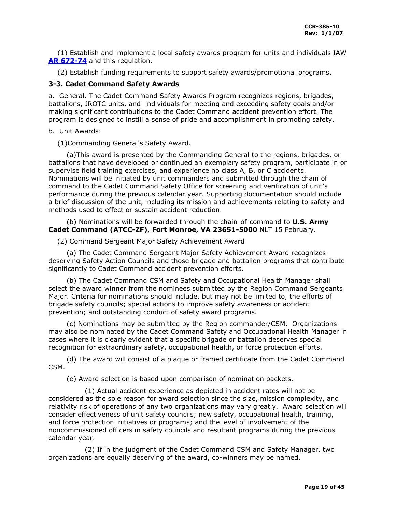(1) Establish and implement a local safety awards program for units and individuals IAW **[AR 672-74](http://www.usapa.army.mil/pdffiles/r672_74.pdf)** and this regulation.

(2) Establish funding requirements to support safety awards/promotional programs.

## <span id="page-18-0"></span>**3-3. Cadet Command Safety Awards**

a. General. The Cadet Command Safety Awards Program recognizes regions, brigades, battalions, JROTC units, and individuals for meeting and exceeding safety goals and/or making significant contributions to the Cadet Command accident prevention effort. The program is designed to instill a sense of pride and accomplishment in promoting safety.

## b. Unit Awards:

(1)Commanding General's Safety Award.

 (a)This award is presented by the Commanding General to the regions, brigades, or battalions that have developed or continued an exemplary safety program, participate in or supervise field training exercises, and experience no class A, B, or C accidents. Nominations will be initiated by unit commanders and submitted through the chain of command to the Cadet Command Safety Office for screening and verification of unit's performance during the previous calendar year. Supporting documentation should include a brief discussion of the unit, including its mission and achievements relating to safety and methods used to effect or sustain accident reduction.

## (b) Nominations will be forwarded through the chain-of-command to **U.S. Army Cadet Command (ATCC-ZF), Fort Monroe, VA 23651-5000** NLT 15 February.

(2) Command Sergeant Major Safety Achievement Award

 (a) The Cadet Command Sergeant Major Safety Achievement Award recognizes deserving Safety Action Councils and those brigade and battalion programs that contribute significantly to Cadet Command accident prevention efforts.

 (b) The Cadet Command CSM and Safety and Occupational Health Manager shall select the award winner from the nominees submitted by the Region Command Sergeants Major. Criteria for nominations should include, but may not be limited to, the efforts of brigade safety councils; special actions to improve safety awareness or accident prevention; and outstanding conduct of safety award programs.

 (c) Nominations may be submitted by the Region commander/CSM. Organizations may also be nominated by the Cadet Command Safety and Occupational Health Manager in cases where it is clearly evident that a specific brigade or battalion deserves special recognition for extraordinary safety, occupational health, or force protection efforts.

 (d) The award will consist of a plaque or framed certificate from the Cadet Command CSM.

(e) Award selection is based upon comparison of nomination packets.

 (1) Actual accident experience as depicted in accident rates will not be considered as the sole reason for award selection since the size, mission complexity, and relativity risk of operations of any two organizations may vary greatly. Award selection will consider effectiveness of unit safety councils; new safety, occupational health, training, and force protection initiatives or programs; and the level of involvement of the noncommissioned officers in safety councils and resultant programs during the previous calendar year.

 (2) If in the judgment of the Cadet Command CSM and Safety Manager, two organizations are equally deserving of the award, co-winners may be named.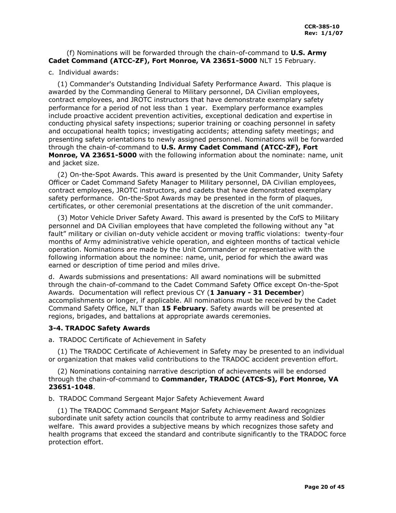## (f) Nominations will be forwarded through the chain-of-command to **U.S. Army Cadet Command (ATCC-ZF), Fort Monroe, VA 23651-5000** NLT 15 February.

## c. Individual awards:

 (1) Commander's Outstanding Individual Safety Performance Award. This plaque is awarded by the Commanding General to Military personnel, DA Civilian employees, contract employees, and JROTC instructors that have demonstrate exemplary safety performance for a period of not less than 1 year. Exemplary performance examples include proactive accident prevention activities, exceptional dedication and expertise in conducting physical safety inspections; superior training or coaching personnel in safety and occupational health topics; investigating accidents; attending safety meetings; and presenting safety orientations to newly assigned personnel. Nominations will be forwarded through the chain-of-command to **U.S. Army Cadet Command (ATCC-ZF), Fort Monroe, VA 23651-5000** with the following information about the nominate: name, unit and jacket size.

 (2) On-the-Spot Awards. This award is presented by the Unit Commander, Unity Safety Officer or Cadet Command Safety Manager to Military personnel, DA Civilian employees, contract employees, JROTC instructors, and cadets that have demonstrated exemplary safety performance. On-the-Spot Awards may be presented in the form of plaques, certificates, or other ceremonial presentations at the discretion of the unit commander.

 (3) Motor Vehicle Driver Safety Award. This award is presented by the CofS to Military personnel and DA Civilian employees that have completed the following without any "at fault" military or civilian on-duty vehicle accident or moving traffic violations: twenty-four months of Army administrative vehicle operation, and eighteen months of tactical vehicle operation. Nominations are made by the Unit Commander or representative with the following information about the nominee: name, unit, period for which the award was earned or description of time period and miles drive.

d. Awards submissions and presentations: All award nominations will be submitted through the chain-of-command to the Cadet Command Safety Office except On-the-Spot Awards. Documentation will reflect previous CY (**1 January - 31 December**) accomplishments or longer, if applicable. All nominations must be received by the Cadet Command Safety Office, NLT than **15 February**. Safety awards will be presented at regions, brigades, and battalions at appropriate awards ceremonies.

## <span id="page-19-0"></span>**3-4. TRADOC Safety Awards**

a. TRADOC Certificate of Achievement in Safety

 (1) The TRADOC Certificate of Achievement in Safety may be presented to an individual or organization that makes valid contributions to the TRADOC accident prevention effort.

 (2) Nominations containing narrative description of achievements will be endorsed through the chain-of-command to **Commander, TRADOC (ATCS-S), Fort Monroe, VA 23651-1048**.

b. TRADOC Command Sergeant Major Safety Achievement Award

 (1) The TRADOC Command Sergeant Major Safety Achievement Award recognizes subordinate unit safety action councils that contribute to army readiness and Soldier welfare. This award provides a subjective means by which recognizes those safety and health programs that exceed the standard and contribute significantly to the TRADOC force protection effort.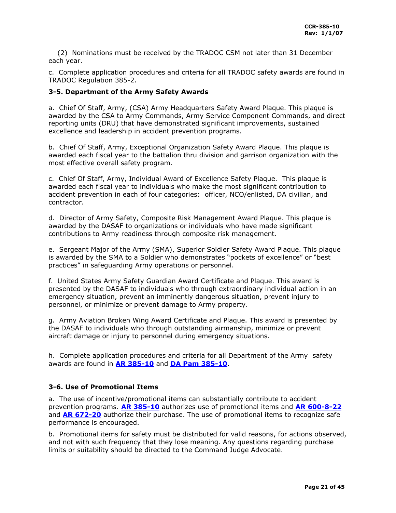(2) Nominations must be received by the TRADOC CSM not later than 31 December each year.

c. Complete application procedures and criteria for all TRADOC safety awards are found in TRADOC Regulation 385-2.

## **3-5. Department of the Army Safety Awards**

a. Chief Of Staff, Army, (CSA) Army Headquarters Safety Award Plaque. This plaque is awarded by the CSA to Army Commands, Army Service Component Commands, and direct reporting units (DRU) that have demonstrated significant improvements, sustained excellence and leadership in accident prevention programs.

b. Chief Of Staff, Army, Exceptional Organization Safety Award Plaque. This plaque is awarded each fiscal year to the battalion thru division and garrison organization with the most effective overall safety program.

c. Chief Of Staff, Army, Individual Award of Excellence Safety Plaque. This plaque is awarded each fiscal year to individuals who make the most significant contribution to accident prevention in each of four categories: officer, NCO/enlisted, DA civilian, and contractor.

d. Director of Army Safety, Composite Risk Management Award Plaque. This plaque is awarded by the DASAF to organizations or individuals who have made significant contributions to Army readiness through composite risk management.

e. Sergeant Major of the Army (SMA), Superior Soldier Safety Award Plaque. This plaque is awarded by the SMA to a Soldier who demonstrates "pockets of excellence" or "best practices" in safeguarding Army operations or personnel.

f. United States Army Safety Guardian Award Certificate and Plaque. This award is presented by the DASAF to individuals who through extraordinary individual action in an emergency situation, prevent an imminently dangerous situation, prevent injury to personnel, or minimize or prevent damage to Army property.

g. Army Aviation Broken Wing Award Certificate and Plaque. This award is presented by the DASAF to individuals who through outstanding airmanship, minimize or prevent aircraft damage or injury to personnel during emergency situations.

h. Complete application procedures and criteria for all Department of the Army safety awards are found in **AR 385-10** and **DA Pam 385-10**.

## **3-6. Use of Promotional Items**

a. The use of incentive/promotional items can substantially contribute to accident prevention programs. **[AR 385-10](http://www.usapa.army.mil/pdffiles/r385_10.pdf)** authorizes use of promotional items and **AR [600-8-22](http://www.usapa.army.mil/pdffiles/r600_8_22.pdf)** and **AR [672-20](http://www.usapa.army.mil/pdffiles/r672_20.pdf)** authorize their purchase. The use of promotional items to recognize safe performance is encouraged.

b. Promotional items for safety must be distributed for valid reasons, for actions observed, and not with such frequency that they lose meaning. Any questions regarding purchase limits or suitability should be directed to the Command Judge Advocate.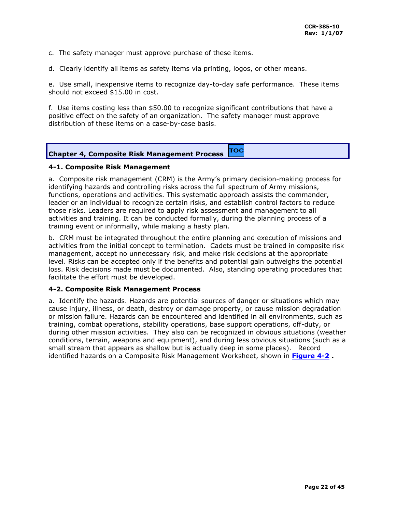c. The safety manager must approve purchase of these items.

d. Clearly identify all items as safety items via printing, logos, or other means.

e. Use small, inexpensive items to recognize day-to-day safe performance. These items should not exceed \$15.00 in cost.

f. Use items costing less than \$50.00 to recognize significant contributions that have a positive effect on the safety of an organization. The safety manager must approve distribution of these items on a case-by-case basis.

| <b>Chapter 4, Composite Risk Management Process</b> | <b>TOC</b> |
|-----------------------------------------------------|------------|
|-----------------------------------------------------|------------|

## <span id="page-21-0"></span>**4-1. Composite Risk Management**

a. Composite risk management (CRM) is the Army's primary decision-making process for identifying hazards and controlling risks across the full spectrum of Army missions, functions, operations and activities. This systematic approach assists the commander, leader or an individual to recognize certain risks, and establish control factors to reduce those risks. Leaders are required to apply risk assessment and management to all activities and training. It can be conducted formally, during the planning process of a training event or informally, while making a hasty plan.

b. CRM must be integrated throughout the entire planning and execution of missions and activities from the initial concept to termination. Cadets must be trained in composite risk management, accept no unnecessary risk, and make risk decisions at the appropriate level. Risks can be accepted only if the benefits and potential gain outweighs the potential loss. Risk decisions made must be documented. Also, standing operating procedures that facilitate the effort must be developed.

## <span id="page-21-1"></span>**4-2. Composite Risk Management Process**

a. Identify the hazards. Hazards are potential sources of danger or situations which may cause injury, illness, or death, destroy or damage property, or cause mission degradation or mission failure. Hazards can be encountered and identified in all environments, such as training, combat operations, stability operations, base support operations, off-duty, or during other mission activities. They also can be recognized in obvious situations (weather conditions, terrain, weapons and equipment), and during less obvious situations (such as a small stream that appears as shallow but is actually deep in some places). Record identified hazards on a Composite Risk Management Worksheet, shown in **[Figure 4-2](#page-22-0) .**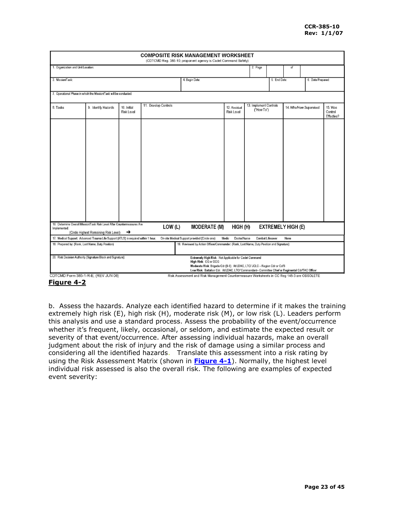|                                                    |                                                                                     |                                  |                      | <b>COMPOSITE RISK MANAGEMENT WORKSHEET</b><br>(CDTCMD Reg. 385-10; proponent agency is Cadet Command Safety)                                                                                                                                                   |                                   |                                      |              |                           |                        |                                  |
|----------------------------------------------------|-------------------------------------------------------------------------------------|----------------------------------|----------------------|----------------------------------------------------------------------------------------------------------------------------------------------------------------------------------------------------------------------------------------------------------------|-----------------------------------|--------------------------------------|--------------|---------------------------|------------------------|----------------------------------|
| 1. Organization and Unit Location:                 |                                                                                     |                                  |                      |                                                                                                                                                                                                                                                                |                                   | 2. Page                              |              | of                        |                        |                                  |
|                                                    |                                                                                     |                                  |                      |                                                                                                                                                                                                                                                                |                                   |                                      |              |                           |                        |                                  |
| 3. Mission/Task:                                   |                                                                                     |                                  |                      | 4. Begin Date:                                                                                                                                                                                                                                                 |                                   |                                      | 5. End Date: |                           | 6. Date Prepared:      |                                  |
|                                                    | 7. Operational Phase in which the Mission/Task will be conducted:                   |                                  |                      |                                                                                                                                                                                                                                                                |                                   |                                      |              |                           |                        |                                  |
|                                                    |                                                                                     |                                  |                      |                                                                                                                                                                                                                                                                |                                   |                                      |              |                           |                        |                                  |
| 8. Tasks                                           | 9. Identify Hazards                                                                 | 10. Initial<br><b>Risk Level</b> | 11. Develop Controls |                                                                                                                                                                                                                                                                | 12. Residual<br><b>Risk Level</b> | 13. Implement Controls<br>("How To") |              |                           | 14. Who/How Supervised | 15. Was<br>Control<br>Effective? |
|                                                    | 16. Determine Overall Mission/Task Risk Level After Countermeasures Are             |                                  |                      |                                                                                                                                                                                                                                                                |                                   |                                      |              |                           |                        |                                  |
| Implemented:                                       | (Circle Highest Remaining Risk Level)                                               | →                                | LOW (L)              | <b>MODERATE (M)</b>                                                                                                                                                                                                                                            | HIGH (H)                          |                                      |              | <b>EXTREMELY HIGH (E)</b> |                        |                                  |
| 18. Prepared by: (Rank, Last Name, Duty Position)  | 17. Medical Support: Advanced Trauma Life Support (ATLS) is required within 1 hour. |                                  |                      | On-site Medical Support provided (Circle one):<br>19. Reviewed by Action Officer/Commander: (Rank, Last Name, Duty Position and Signature):                                                                                                                    | Medic<br>Doctor/Nurse             | Combat Lifesaver                     |              | None                      |                        |                                  |
|                                                    |                                                                                     |                                  |                      |                                                                                                                                                                                                                                                                |                                   |                                      |              |                           |                        |                                  |
|                                                    | 20. Risk Decision Authority (Signature Block and Signature):                        |                                  |                      | Extremely High Risk: Not Applicable for Cadet Command<br>High Risk: CG or DCG<br>Moderate Risk: Brigade Cdr (0-6). At LDAC, LTC/ JCLC - Region Cdr or CofS<br>Low Risk: Battalion Cdr. At LDAC, LTC/ Commandant- Committee Chief or Regimental Cdr/TAC Officer |                                   |                                      |              |                           |                        |                                  |
| CDTCMD Form 385-1-R-E, (REV JUN 06)<br>Eiausa 4.9. |                                                                                     |                                  |                      | Risk Assessment and Risk Management Countermeasure Worksheets in CC Reg 145-3 are OBSOLETE                                                                                                                                                                     |                                   |                                      |              |                           |                        |                                  |

<span id="page-22-0"></span>**Figure 4-2**

b. Assess the hazards. Analyze each identified hazard to determine if it makes the training extremely high risk (E), high risk (H), moderate risk (M), or low risk (L). Leaders perform this analysis and use a standard process. Assess the probability of the event/occurrence whether it's frequent, likely, occasional, or seldom, and estimate the expected result or severity of that event/occurrence. After assessing individual hazards, make an overall judgment about the risk of injury and the risk of damage using a similar process and considering all the identified hazards. Translate this assessment into a risk rating by using the Risk Assessment Matrix (shown in **[Figure](#page-23-0) 4-1**). Normally, the highest level individual risk assessed is also the overall risk. The following are examples of expected event severity: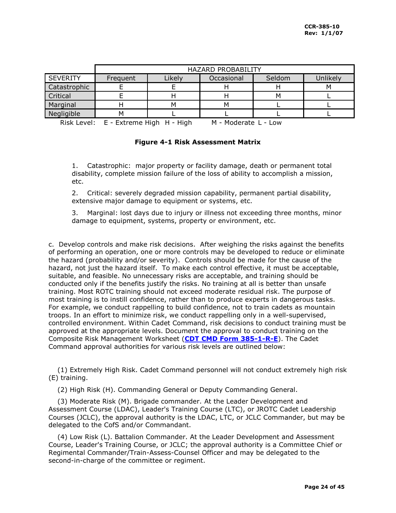|                 | <b>HAZARD PROBABILITY</b> |        |            |        |          |
|-----------------|---------------------------|--------|------------|--------|----------|
| <b>SEVERITY</b> | Frequent                  | Likely | Occasional | Seldom | Unlikely |
| Catastrophic    |                           |        |            |        | м        |
| Critical        |                           |        |            | M      |          |
| Marginal        |                           | м      | м          |        |          |
| Negligible      | М                         |        |            |        |          |

<span id="page-23-0"></span>Risk Level:  $E - E$ xtreme High  $H - H$ igh  $M - M$  - Moderate L - Low

## **Figure 4-1 Risk Assessment Matrix**

1. Catastrophic: major property or facility damage, death or permanent total disability, complete mission failure of the loss of ability to accomplish a mission, etc.

2. Critical: severely degraded mission capability, permanent partial disability, extensive major damage to equipment or systems, etc.

3. Marginal: lost days due to injury or illness not exceeding three months, minor damage to equipment, systems, property or environment, etc.

c. Develop controls and make risk decisions. After weighing the risks against the benefits of performing an operation, one or more controls may be developed to reduce or eliminate the hazard (probability and/or severity). Controls should be made for the cause of the hazard, not just the hazard itself. To make each control effective, it must be acceptable, suitable, and feasible. No unnecessary risks are acceptable, and training should be conducted only if the benefits justify the risks. No training at all is better than unsafe training. Most ROTC training should not exceed moderate residual risk. The purpose of most training is to instill confidence, rather than to produce experts in dangerous tasks. For example, we conduct rappelling to build confidence, not to train cadets as mountain troops. In an effort to minimize risk, we conduct rappelling only in a well-supervised, controlled environment. Within Cadet Command, risk decisions to conduct training must be approved at the appropriate levels. Document the approval to conduct training on the Composite Risk Management Worksheet (**[CDT CMD Form 385-1-R-E](http://my.usaac.army.mil/downloads/usacc/HQ/library/Forms/XFDL/cc385-locked.xfd)**). The Cadet Command approval authorities for various risk levels are outlined below:

 (1) Extremely High Risk. Cadet Command personnel will not conduct extremely high risk (E) training.

(2) High Risk (H). Commanding General or Deputy Commanding General.

 (3) Moderate Risk (M). Brigade commander. At the Leader Development and Assessment Course (LDAC), Leader's Training Course (LTC), or JROTC Cadet Leadership Courses (JCLC), the approval authority is the LDAC, LTC, or JCLC Commander, but may be delegated to the CofS and/or Commandant.

 (4) Low Risk (L). Battalion Commander. At the Leader Development and Assessment Course, Leader's Training Course, or JCLC; the approval authority is a Committee Chief or Regimental Commander/Train-Assess-Counsel Officer and may be delegated to the second-in-charge of the committee or regiment.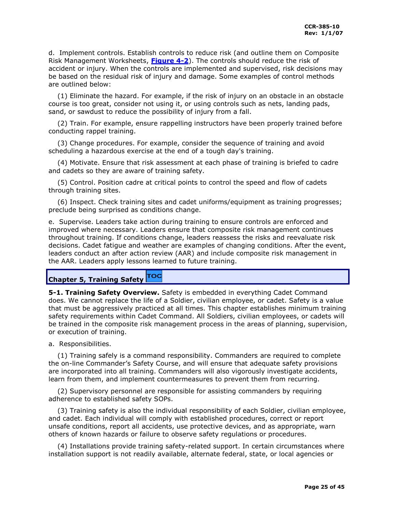d. Implement controls. Establish controls to reduce risk (and outline them on Composite Risk Management Worksheets, **[Figure 4-2](#page-22-0)**). The controls should reduce the risk of accident or injury. When the controls are implemented and supervised, risk decisions may be based on the residual risk of injury and damage. Some examples of control methods are outlined below:

 (1) Eliminate the hazard. For example, if the risk of injury on an obstacle in an obstacle course is too great, consider not using it, or using controls such as nets, landing pads, sand, or sawdust to reduce the possibility of injury from a fall.

 (2) Train. For example, ensure rappelling instructors have been properly trained before conducting rappel training.

 (3) Change procedures. For example, consider the sequence of training and avoid scheduling a hazardous exercise at the end of a tough day's training.

 (4) Motivate. Ensure that risk assessment at each phase of training is briefed to cadre and cadets so they are aware of training safety.

 (5) Control. Position cadre at critical points to control the speed and flow of cadets through training sites.

 (6) Inspect. Check training sites and cadet uniforms/equipment as training progresses; preclude being surprised as conditions change.

e. Supervise. Leaders take action during training to ensure controls are enforced and improved where necessary. Leaders ensure that composite risk management continues throughout training. If conditions change, leaders reassess the risks and reevaluate risk decisions. Cadet fatigue and weather are examples of changing conditions. After the event, leaders conduct an after action review (AAR) and include composite risk management in the AAR. Leaders apply lessons learned to future training.

#### TOC **Chapter 5, Training Safety**

<span id="page-24-0"></span>**5-1. Training Safety Overview.** Safety is embedded in everything Cadet Command does. We cannot replace the life of a Soldier, civilian employee, or cadet. Safety is a value that must be aggressively practiced at all times. This chapter establishes minimum training safety requirements within Cadet Command. All Soldiers, civilian employees, or cadets will be trained in the composite risk management process in the areas of planning, supervision, or execution of training.

a. Responsibilities.

 (1) Training safely is a command responsibility. Commanders are required to complete the on-line Commander's Safety Course, and will ensure that adequate safety provisions are incorporated into all training. Commanders will also vigorously investigate accidents, learn from them, and implement countermeasures to prevent them from recurring.

 (2) Supervisory personnel are responsible for assisting commanders by requiring adherence to established safety SOPs.

 (3) Training safety is also the individual responsibility of each Soldier, civilian employee, and cadet. Each individual will comply with established procedures, correct or report unsafe conditions, report all accidents, use protective devices, and as appropriate, warn others of known hazards or failure to observe safety regulations or procedures.

 (4) Installations provide training safety-related support. In certain circumstances where installation support is not readily available, alternate federal, state, or local agencies or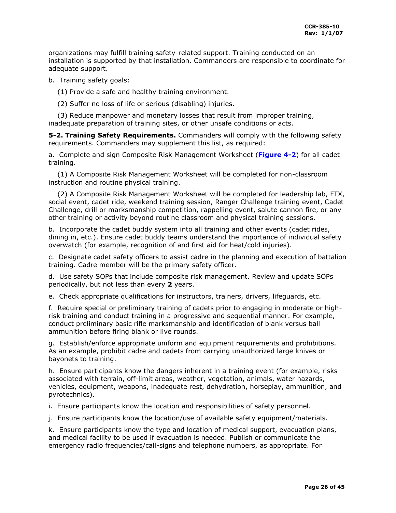organizations may fulfill training safety-related support. Training conducted on an installation is supported by that installation. Commanders are responsible to coordinate for adequate support.

b. Training safety goals:

(1) Provide a safe and healthy training environment.

(2) Suffer no loss of life or serious (disabling) injuries.

 (3) Reduce manpower and monetary losses that result from improper training, inadequate preparation of training sites, or other unsafe conditions or acts.

<span id="page-25-0"></span>**5-2. Training Safety Requirements.** Commanders will comply with the following safety requirements. Commanders may supplement this list, as required:

a. Complete and sign Composite Risk Management Worksheet (**[Figure 4-2](#page-22-0)**) for all cadet training.

 (1) A Composite Risk Management Worksheet will be completed for non-classroom instruction and routine physical training.

 (2) A Composite Risk Management Worksheet will be completed for leadership lab, FTX, social event, cadet ride, weekend training session, Ranger Challenge training event, Cadet Challenge, drill or marksmanship competition, rappelling event, salute cannon fire, or any other training or activity beyond routine classroom and physical training sessions.

b. Incorporate the cadet buddy system into all training and other events (cadet rides, dining in, etc.). Ensure cadet buddy teams understand the importance of individual safety overwatch (for example, recognition of and first aid for heat/cold injuries).

c. Designate cadet safety officers to assist cadre in the planning and execution of battalion training. Cadre member will be the primary safety officer.

d. Use safety SOPs that include composite risk management. Review and update SOPs periodically, but not less than every **2** years.

e. Check appropriate qualifications for instructors, trainers, drivers, lifeguards, etc.

f. Require special or preliminary training of cadets prior to engaging in moderate or highrisk training and conduct training in a progressive and sequential manner. For example, conduct preliminary basic rifle marksmanship and identification of blank versus ball ammunition before firing blank or live rounds.

g. Establish/enforce appropriate uniform and equipment requirements and prohibitions. As an example, prohibit cadre and cadets from carrying unauthorized large knives or bayonets to training.

h. Ensure participants know the dangers inherent in a training event (for example, risks associated with terrain, off-limit areas, weather, vegetation, animals, water hazards, vehicles, equipment, weapons, inadequate rest, dehydration, horseplay, ammunition, and pyrotechnics).

i. Ensure participants know the location and responsibilities of safety personnel.

j. Ensure participants know the location/use of available safety equipment/materials.

k. Ensure participants know the type and location of medical support, evacuation plans, and medical facility to be used if evacuation is needed. Publish or communicate the emergency radio frequencies/call-signs and telephone numbers, as appropriate. For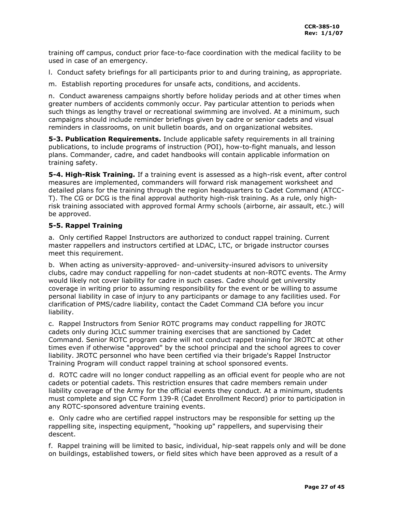training off campus, conduct prior face-to-face coordination with the medical facility to be used in case of an emergency.

- l. Conduct safety briefings for all participants prior to and during training, as appropriate.
- m. Establish reporting procedures for unsafe acts, conditions, and accidents.

n. Conduct awareness campaigns shortly before holiday periods and at other times when greater numbers of accidents commonly occur. Pay particular attention to periods when such things as lengthy travel or recreational swimming are involved. At a minimum, such campaigns should include reminder briefings given by cadre or senior cadets and visual reminders in classrooms, on unit bulletin boards, and on organizational websites.

<span id="page-26-0"></span>**5-3. Publication Requirements.** Include applicable safety requirements in all training publications, to include programs of instruction (POI), how-to-fight manuals, and lesson plans. Commander, cadre, and cadet handbooks will contain applicable information on training safety.

<span id="page-26-1"></span>**5-4. High-Risk Training.** If a training event is assessed as a high-risk event, after control measures are implemented, commanders will forward risk management worksheet and detailed plans for the training through the region headquarters to Cadet Command (ATCC-T). The CG or DCG is the final approval authority high-risk training. As a rule, only highrisk training associated with approved formal Army schools (airborne, air assault, etc.) will be approved.

## <span id="page-26-2"></span>**5-5. Rappel Training**

a. Only certified Rappel Instructors are authorized to conduct rappel training. Current master rappellers and instructors certified at LDAC, LTC, or brigade instructor courses meet this requirement.

b. When acting as university-approved- and-university-insured advisors to university clubs, cadre may conduct rappelling for non-cadet students at non-ROTC events. The Army would likely not cover liability for cadre in such cases. Cadre should get university coverage in writing prior to assuming responsibility for the event or be willing to assume personal liability in case of injury to any participants or damage to any facilities used. For clarification of PMS/cadre liability, contact the Cadet Command CJA before you incur liability.

c. Rappel Instructors from Senior ROTC programs may conduct rappelling for JROTC cadets only during JCLC summer training exercises that are sanctioned by Cadet Command. Senior ROTC program cadre will not conduct rappel training for JROTC at other times even if otherwise "approved" by the school principal and the school agrees to cover liability. JROTC personnel who have been certified via their brigade's Rappel Instructor Training Program will conduct rappel training at school sponsored events.

d. ROTC cadre will no longer conduct rappelling as an official event for people who are not cadets or potential cadets. This restriction ensures that cadre members remain under liability coverage of the Army for the official events they conduct. At a minimum, students must complete and sign CC Form 139-R (Cadet Enrollment Record) prior to participation in any ROTC-sponsored adventure training events.

e. Only cadre who are certified rappel instructors may be responsible for setting up the rappelling site, inspecting equipment, "hooking up" rappellers, and supervising their descent.

f. Rappel training will be limited to basic, individual, hip-seat rappels only and will be done on buildings, established towers, or field sites which have been approved as a result of a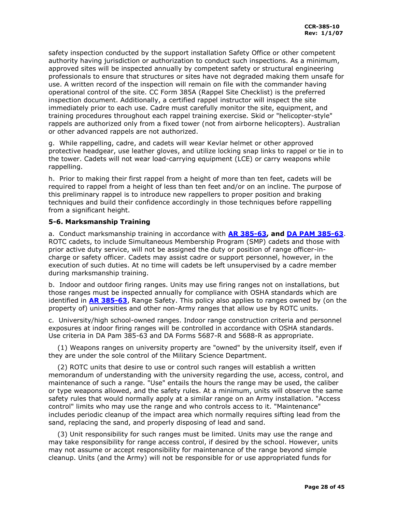safety inspection conducted by the support installation Safety Office or other competent authority having jurisdiction or authorization to conduct such inspections. As a minimum, approved sites will be inspected annually by competent safety or structural engineering professionals to ensure that structures or sites have not degraded making them unsafe for use. A written record of the inspection will remain on file with the commander having operational control of the site. CC Form 385A (Rappel Site Checklist) is the preferred inspection document. Additionally, a certified rappel instructor will inspect the site immediately prior to each use. Cadre must carefully monitor the site, equipment, and training procedures throughout each rappel training exercise. Skid or "helicopter-style" rappels are authorized only from a fixed tower (not from airborne helicopters). Australian or other advanced rappels are not authorized.

g. While rappelling, cadre, and cadets will wear Kevlar helmet or other approved protective headgear, use leather gloves, and utilize locking snap links to rappel or tie in to the tower. Cadets will not wear load-carrying equipment (LCE) or carry weapons while rappelling.

h. Prior to making their first rappel from a height of more than ten feet, cadets will be required to rappel from a height of less than ten feet and/or on an incline. The purpose of this preliminary rappel is to introduce new rappellers to proper position and braking techniques and build their confidence accordingly in those techniques before rappelling from a significant height.

## <span id="page-27-0"></span>**5-6. Marksmanship Training**

a. Conduct marksmanship training in accordance with **AR 385-63, and DA PAM 385-63**. ROTC cadets, to include Simultaneous Membership Program (SMP) cadets and those with prior active duty service, will not be assigned the duty or position of range officer-incharge or safety officer. Cadets may assist cadre or support personnel, however, in the execution of such duties. At no time will cadets be left unsupervised by a cadre member during marksmanship training.

b. Indoor and outdoor firing ranges. Units may use firing ranges not on installations, but those ranges must be inspected annually for compliance with OSHA standards which are identified in **[AR 385-63](http://www.usapa.army.mil/pdffiles/r385_63.pdf)**, Range Safety. This policy also applies to ranges owned by (on the property of) universities and other non-Army ranges that allow use by ROTC units.

c. University/high school-owned ranges. Indoor range construction criteria and personnel exposures at indoor firing ranges will be controlled in accordance with OSHA standards. Use criteria in DA Pam 385-63 and DA Forms 5687-R and 5688-R as appropriate.

 (1) Weapons ranges on university property are "owned" by the university itself, even if they are under the sole control of the Military Science Department.

 (2) ROTC units that desire to use or control such ranges will establish a written memorandum of understanding with the university regarding the use, access, control, and maintenance of such a range. "Use" entails the hours the range may be used, the caliber or type weapons allowed, and the safety rules. At a minimum, units will observe the same safety rules that would normally apply at a similar range on an Army installation. "Access control" limits who may use the range and who controls access to it. "Maintenance" includes periodic cleanup of the impact area which normally requires sifting lead from the sand, replacing the sand, and properly disposing of lead and sand.

 (3) Unit responsibility for such ranges must be limited. Units may use the range and may take responsibility for range access control, if desired by the school. However, units may not assume or accept responsibility for maintenance of the range beyond simple cleanup. Units (and the Army) will not be responsible for or use appropriated funds for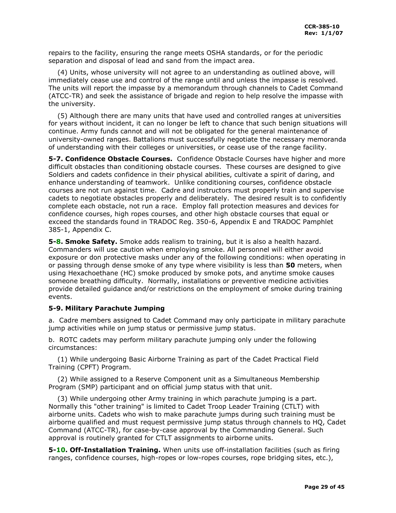repairs to the facility, ensuring the range meets OSHA standards, or for the periodic separation and disposal of lead and sand from the impact area.

 (4) Units, whose university will not agree to an understanding as outlined above, will immediately cease use and control of the range until and unless the impasse is resolved. The units will report the impasse by a memorandum through channels to Cadet Command (ATCC-TR) and seek the assistance of brigade and region to help resolve the impasse with the university.

 (5) Although there are many units that have used and controlled ranges at universities for years without incident, it can no longer be left to chance that such benign situations will continue. Army funds cannot and will not be obligated for the general maintenance of university-owned ranges. Battalions must successfully negotiate the necessary memoranda of understanding with their colleges or universities, or cease use of the range facility.

**5-7. Confidence Obstacle Courses.** Confidence Obstacle Courses have higher and more difficult obstacles than conditioning obstacle courses. These courses are designed to give Soldiers and cadets confidence in their physical abilities, cultivate a spirit of daring, and enhance understanding of teamwork. Unlike conditioning courses, confidence obstacle courses are not run against time. Cadre and instructors must properly train and supervise cadets to negotiate obstacles properly and deliberately. The desired result is to confidently complete each obstacle, not run a race. Employ fall protection measures and devices for confidence courses, high ropes courses, and other high obstacle courses that equal or exceed the standards found in TRADOC Reg. 350-6, Appendix E and TRADOC Pamphlet 385-1, Appendix C.

<span id="page-28-0"></span>**5-8. Smoke Safety.** Smoke adds realism to training, but it is also a health hazard. Commanders will use caution when employing smoke. All personnel will either avoid exposure or don protective masks under any of the following conditions: when operating in or passing through dense smoke of any type where visibility is less than **50** meters, when using Hexachoethane (HC) smoke produced by smoke pots, and anytime smoke causes someone breathing difficulty. Normally, installations or preventive medicine activities provide detailed guidance and/or restrictions on the employment of smoke during training events.

## <span id="page-28-1"></span>**5-9. Military Parachute Jumping**

a. Cadre members assigned to Cadet Command may only participate in military parachute jump activities while on jump status or permissive jump status.

b. ROTC cadets may perform military parachute jumping only under the following circumstances:

 (1) While undergoing Basic Airborne Training as part of the Cadet Practical Field Training (CPFT) Program.

 (2) While assigned to a Reserve Component unit as a Simultaneous Membership Program (SMP) participant and on official jump status with that unit.

 (3) While undergoing other Army training in which parachute jumping is a part. Normally this "other training" is limited to Cadet Troop Leader Training (CTLT) with airborne units. Cadets who wish to make parachute jumps during such training must be airborne qualified and must request permissive jump status through channels to HQ, Cadet Command (ATCC-TR), for case-by-case approval by the Commanding General. Such approval is routinely granted for CTLT assignments to airborne units.

<span id="page-28-2"></span>**5-10. Off-Installation Training.** When units use off-installation facilities (such as firing ranges, confidence courses, high-ropes or low-ropes courses, rope bridging sites, etc.),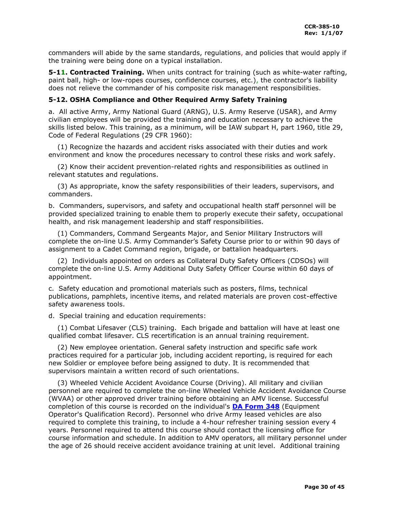commanders will abide by the same standards, regulations, and policies that would apply if the training were being done on a typical installation.

<span id="page-29-0"></span>**5-11. Contracted Training.** When units contract for training (such as white-water rafting, paint ball, high- or low-ropes courses, confidence courses, etc.), the contractor's liability does not relieve the commander of his composite risk management responsibilities.

## <span id="page-29-1"></span>**5-12. OSHA Compliance and Other Required Army Safety Training**

a. All active Army, Army National Guard (ARNG), U.S. Army Reserve (USAR), and Army civilian employees will be provided the training and education necessary to achieve the skills listed below. This training, as a minimum, will be IAW subpart H, part 1960, title 29, Code of Federal Regulations (29 CFR 1960):

 (1) Recognize the hazards and accident risks associated with their duties and work environment and know the procedures necessary to control these risks and work safely.

 (2) Know their accident prevention-related rights and responsibilities as outlined in relevant statutes and regulations.

 (3) As appropriate, know the safety responsibilities of their leaders, supervisors, and commanders.

b. Commanders, supervisors, and safety and occupational health staff personnel will be provided specialized training to enable them to properly execute their safety, occupational health, and risk management leadership and staff responsibilities.

 (1) Commanders, Command Sergeants Major, and Senior Military Instructors will complete the on-line U.S. Army Commander's Safety Course prior to or within 90 days of assignment to a Cadet Command region, brigade, or battalion headquarters.

 (2) Individuals appointed on orders as Collateral Duty Safety Officers (CDSOs) will complete the on-line U.S. Army Additional Duty Safety Officer Course within 60 days of appointment.

c. Safety education and promotional materials such as posters, films, technical publications, pamphlets, incentive items, and related materials are proven cost-effective safety awareness tools.

d. Special training and education requirements:

 (1) Combat Lifesaver (CLS) training. Each brigade and battalion will have at least one qualified combat lifesaver. CLS recertification is an annual training requirement.

 (2) New employee orientation. General safety instruction and specific safe work practices required for a particular job, including accident reporting, is required for each new Soldier or employee before being assigned to duty. It is recommended that supervisors maintain a written record of such orientations.

 (3) Wheeled Vehicle Accident Avoidance Course (Driving). All military and civilian personnel are required to complete the on-line Wheeled Vehicle Accident Avoidance Course (WVAA) or other approved driver training before obtaining an AMV license. Successful completion of this course is recorded on the individual's **[DA Form 348](http://www.apd.army.mil/pub/eforms/pdf/a348.pdf)** (Equipment Operator's Qualification Record). Personnel who drive Army leased vehicles are also required to complete this training, to include a 4-hour refresher training session every 4 years. Personnel required to attend this course should contact the licensing office for course information and schedule. In addition to AMV operators, all military personnel under the age of 26 should receive accident avoidance training at unit level. Additional training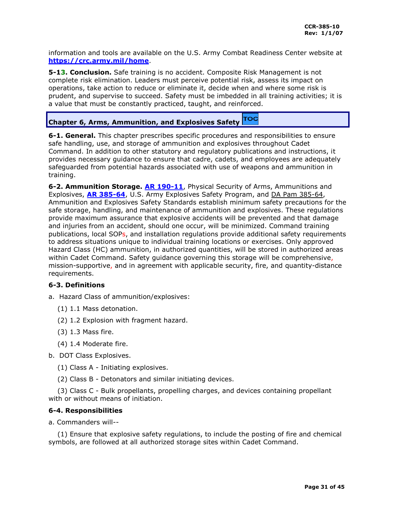information and tools are available on the U.S. Army Combat Readiness Center website at **<https://crc.army.mil/home>**.

<span id="page-30-0"></span>**5-13. Conclusion.** Safe training is no accident. Composite Risk Management is not complete risk elimination. Leaders must perceive potential risk, assess its impact on operations, take action to reduce or eliminate it, decide when and where some risk is prudent, and supervise to succeed. Safety must be imbedded in all training activities; it is a value that must be constantly practiced, taught, and reinforced.

#### TOC **Chapter 6, Arms, Ammunition, and Explosives Safety**

<span id="page-30-1"></span>**6-1. General.** This chapter prescribes specific procedures and responsibilities to ensure safe handling, use, and storage of ammunition and explosives throughout Cadet Command. In addition to other statutory and regulatory publications and instructions, it provides necessary guidance to ensure that cadre, cadets, and employees are adequately safeguarded from potential hazards associated with use of weapons and ammunition in training.

<span id="page-30-2"></span>**6-2. Ammunition Storage. [AR 190-11](http://www.usapa.army.mil/pdffiles/r190_11.pdf)**, Physical Security of Arms, Ammunitions and Explosives, **[AR 385-64](http://www.usapa.army.mil/pdffiles/r385_64.pdf)**, U.S. Army Explosives Safety Program, and DA Pam 385-64, Ammunition and Explosives Safety Standards establish minimum safety precautions for the safe storage, handling, and maintenance of ammunition and explosives. These regulations provide maximum assurance that explosive accidents will be prevented and that damage and injuries from an accident, should one occur, will be minimized. Command training publications, local SOPs, and installation regulations provide additional safety requirements to address situations unique to individual training locations or exercises. Only approved Hazard Class (HC) ammunition, in authorized quantities, will be stored in authorized areas within Cadet Command. Safety guidance governing this storage will be comprehensive, mission-supportive, and in agreement with applicable security, fire, and quantity-distance requirements.

## <span id="page-30-3"></span>**6-3. Definitions**

- a. Hazard Class of ammunition/explosives:
	- (1) 1.1 Mass detonation.
	- (2) 1.2 Explosion with fragment hazard.
	- (3) 1.3 Mass fire.
	- (4) 1.4 Moderate fire.
- b. DOT Class Explosives.
	- (1) Class A Initiating explosives.
	- (2) Class B Detonators and similar initiating devices.

 (3) Class C - Bulk propellants, propelling charges, and devices containing propellant with or without means of initiation.

### <span id="page-30-4"></span>**6-4. Responsibilities**

a. Commanders will--

 (1) Ensure that explosive safety regulations, to include the posting of fire and chemical symbols, are followed at all authorized storage sites within Cadet Command.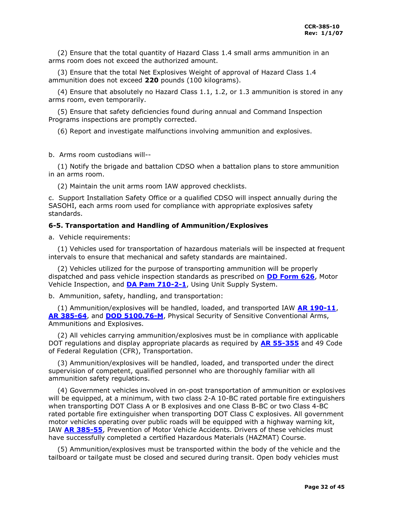(2) Ensure that the total quantity of Hazard Class 1.4 small arms ammunition in an arms room does not exceed the authorized amount.

 (3) Ensure that the total Net Explosives Weight of approval of Hazard Class 1.4 ammunition does not exceed **220** pounds (100 kilograms).

 (4) Ensure that absolutely no Hazard Class 1.1, 1.2, or 1.3 ammunition is stored in any arms room, even temporarily.

 (5) Ensure that safety deficiencies found during annual and Command Inspection Programs inspections are promptly corrected.

(6) Report and investigate malfunctions involving ammunition and explosives.

b. Arms room custodians will--

 (1) Notify the brigade and battalion CDSO when a battalion plans to store ammunition in an arms room.

(2) Maintain the unit arms room IAW approved checklists.

c. Support Installation Safety Office or a qualified CDSO will inspect annually during the SASOHI, each arms room used for compliance with appropriate explosives safety standards.

## <span id="page-31-0"></span>**6-5. Transportation and Handling of Ammunition/Explosives**

a. Vehicle requirements:

 (1) Vehicles used for transportation of hazardous materials will be inspected at frequent intervals to ensure that mechanical and safety standards are maintained.

 (2) Vehicles utilized for the purpose of transporting ammunition will be properly dispatched and pass vehicle inspection standards as prescribed on **[DD Form 626](http://www.dior.whs.mil/forms/DD0626.PDF)**, Motor Vehicle Inspection, and **[DA Pam 710-2-1](http://www.usapa.army.mil/pdffiles/p710_2_1.pdf)**, Using Unit Supply System.

b. Ammunition, safety, handling, and transportation:

 (1) Ammunition/explosives will be handled, loaded, and transported IAW **[AR 190-11](http://www.usapa.army.mil/pdffiles/r190_11.pdf)**, **[AR 385-64](http://www.usapa.army.mil/pdffiles/r385_64.pdf)**, and **[DOD 5100.76-M](http://www.dtic.mil/whs/directives/corres/pdf/510076m_0800/p510076m.pdf)**, Physical Security of Sensitive Conventional Arms, Ammunitions and Explosives.

 (2) All vehicles carrying ammunition/explosives must be in compliance with applicable DOT regulations and display appropriate placards as required by **AR 55-355** and 49 Code of Federal Regulation (CFR), Transportation.

 (3) Ammunition/explosives will be handled, loaded, and transported under the direct supervision of competent, qualified personnel who are thoroughly familiar with all ammunition safety regulations.

 (4) Government vehicles involved in on-post transportation of ammunition or explosives will be equipped, at a minimum, with two class 2-A 10-BC rated portable fire extinguishers when transporting DOT Class A or B explosives and one Class B-BC or two Class 4-BC rated portable fire extinguisher when transporting DOT Class C explosives. All government motor vehicles operating over public roads will be equipped with a highway warning kit, IAW **[AR 385-55](http://www.usapa.army.mil/pdffiles/r385_55.pdf)**, Prevention of Motor Vehicle Accidents. Drivers of these vehicles must have successfully completed a certified Hazardous Materials (HAZMAT) Course.

 (5) Ammunition/explosives must be transported within the body of the vehicle and the tailboard or tailgate must be closed and secured during transit. Open body vehicles must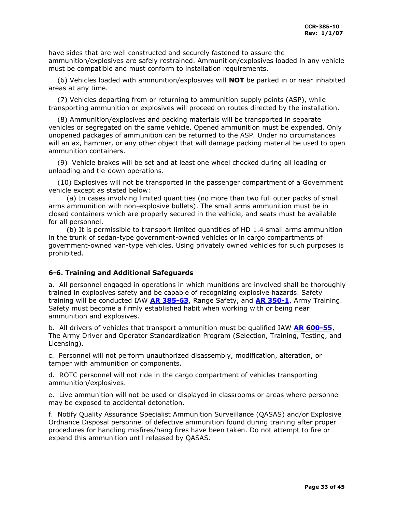have sides that are well constructed and securely fastened to assure the ammunition/explosives are safely restrained. Ammunition/explosives loaded in any vehicle must be compatible and must conform to installation requirements.

 (6) Vehicles loaded with ammunition/explosives will **NOT** be parked in or near inhabited areas at any time.

 (7) Vehicles departing from or returning to ammunition supply points (ASP), while transporting ammunition or explosives will proceed on routes directed by the installation.

 (8) Ammunition/explosives and packing materials will be transported in separate vehicles or segregated on the same vehicle. Opened ammunition must be expended. Only unopened packages of ammunition can be returned to the ASP. Under no circumstances will an ax, hammer, or any other object that will damage packing material be used to open ammunition containers.

 (9) Vehicle brakes will be set and at least one wheel chocked during all loading or unloading and tie-down operations.

 (10) Explosives will not be transported in the passenger compartment of a Government vehicle except as stated below:

 (a) In cases involving limited quantities (no more than two full outer packs of small arms ammunition with non-explosive bullets). The small arms ammunition must be in closed containers which are properly secured in the vehicle, and seats must be available for all personnel.

 (b) It is permissible to transport limited quantities of HD 1.4 small arms ammunition in the trunk of sedan-type government-owned vehicles or in cargo compartments of government-owned van-type vehicles. Using privately owned vehicles for such purposes is prohibited.

## <span id="page-32-0"></span>**6-6. Training and Additional Safeguards**

a. All personnel engaged in operations in which munitions are involved shall be thoroughly trained in explosives safety and be capable of recognizing explosive hazards. Safety training will be conducted IAW **[AR 385-63](http://www.usapa.army.mil/pdffiles/r385_63.pdf)**, Range Safety, and **[AR 350-1](http://www.usapa.army.mil/pdffiles/r350_1.pdf)**, Army Training. Safety must become a firmly established habit when working with or being near ammunition and explosives.

b. All drivers of vehicles that transport ammunition must be qualified IAW **[AR 600-55](http://www.usapa.army.mil/pdffiles/r600_55.pdf)**, The Army Driver and Operator Standardization Program (Selection, Training, Testing, and Licensing).

c. Personnel will not perform unauthorized disassembly, modification, alteration, or tamper with ammunition or components.

d. ROTC personnel will not ride in the cargo compartment of vehicles transporting ammunition/explosives.

e. Live ammunition will not be used or displayed in classrooms or areas where personnel may be exposed to accidental detonation.

f. Notify Quality Assurance Specialist Ammunition Surveillance (QASAS) and/or Explosive Ordnance Disposal personnel of defective ammunition found during training after proper procedures for handling misfires/hang fires have been taken. Do not attempt to fire or expend this ammunition until released by QASAS.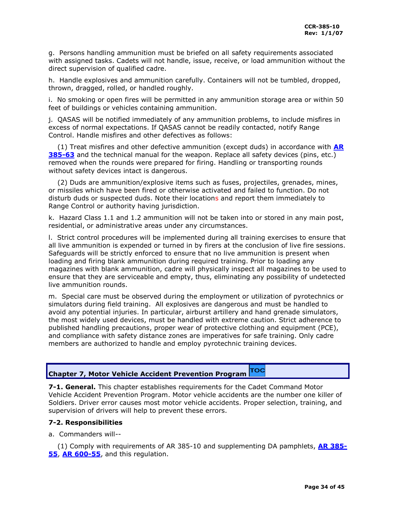g. Persons handling ammunition must be briefed on all safety requirements associated with assigned tasks. Cadets will not handle, issue, receive, or load ammunition without the direct supervision of qualified cadre.

h. Handle explosives and ammunition carefully. Containers will not be tumbled, dropped, thrown, dragged, rolled, or handled roughly.

i. No smoking or open fires will be permitted in any ammunition storage area or within 50 feet of buildings or vehicles containing ammunition.

j. QASAS will be notified immediately of any ammunition problems, to include misfires in excess of normal expectations. If QASAS cannot be readily contacted, notify Range Control. Handle misfires and other defectives as follows:

 (1) Treat misfires and other defective ammunition (except duds) in accordance with **[AR](http://www.usapa.army.mil/pdffiles/r385_63.pdf)  [385-63](http://www.usapa.army.mil/pdffiles/r385_63.pdf)** and the technical manual for the weapon. Replace all safety devices (pins, etc.) removed when the rounds were prepared for firing. Handling or transporting rounds without safety devices intact is dangerous.

 (2) Duds are ammunition/explosive items such as fuses, projectiles, grenades, mines, or missiles which have been fired or otherwise activated and failed to function. Do not disturb duds or suspected duds. Note their locations and report them immediately to Range Control or authority having jurisdiction.

k. Hazard Class 1.1 and 1.2 ammunition will not be taken into or stored in any main post, residential, or administrative areas under any circumstances.

l. Strict control procedures will be implemented during all training exercises to ensure that all live ammunition is expended or turned in by firers at the conclusion of live fire sessions. Safeguards will be strictly enforced to ensure that no live ammunition is present when loading and firing blank ammunition during required training. Prior to loading any magazines with blank ammunition, cadre will physically inspect all magazines to be used to ensure that they are serviceable and empty, thus, eliminating any possibility of undetected live ammunition rounds.

m. Special care must be observed during the employment or utilization of pyrotechnics or simulators during field training. All explosives are dangerous and must be handled to avoid any potential injuries. In particular, airburst artillery and hand grenade simulators, the most widely used devices, must be handled with extreme caution. Strict adherence to published handling precautions, proper wear of protective clothing and equipment (PCE), and compliance with safety distance zones are imperatives for safe training. Only cadre members are authorized to handle and employ pyrotechnic training devices.

#### TOC **Chapter 7, Motor Vehicle Accident Prevention Program**

<span id="page-33-0"></span>**7-1. General.** This chapter establishes requirements for the Cadet Command Motor Vehicle Accident Prevention Program. Motor vehicle accidents are the number one killer of Soldiers. Driver error causes most motor vehicle accidents. Proper selection, training, and supervision of drivers will help to prevent these errors.

## <span id="page-33-1"></span>**7-2. Responsibilities**

a. Commanders will--

 (1) Comply with requirements of AR 385-10 and supplementing DA pamphlets, **[AR 385-](http://www.usapa.army.mil/pdffiles/r385_55.pdf) [55](http://www.usapa.army.mil/pdffiles/r385_55.pdf)**, **[AR 600-55](http://www.usapa.army.mil/pdffiles/r600_55.pdf)**, and this regulation.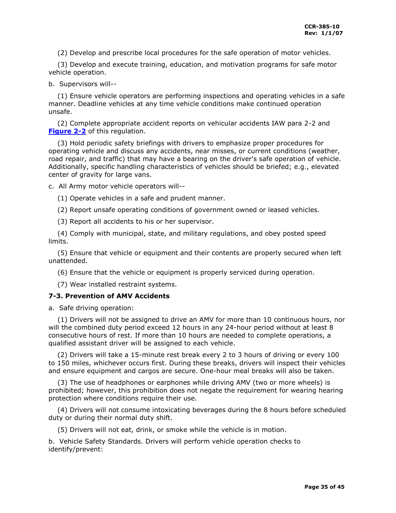(2) Develop and prescribe local procedures for the safe operation of motor vehicles.

 (3) Develop and execute training, education, and motivation programs for safe motor vehicle operation.

## b. Supervisors will--

 (1) Ensure vehicle operators are performing inspections and operating vehicles in a safe manner. Deadline vehicles at any time vehicle conditions make continued operation unsafe.

 (2) Complete appropriate accident reports on vehicular accidents IAW para 2-2 and **[Figure 2-2](#page-15-0)** of this regulation.

 (3) Hold periodic safety briefings with drivers to emphasize proper procedures for operating vehicle and discuss any accidents, near misses, or current conditions (weather, road repair, and traffic) that may have a bearing on the driver's safe operation of vehicle. Additionally, specific handling characteristics of vehicles should be briefed; e.g., elevated center of gravity for large vans.

c. All Army motor vehicle operators will--

(1) Operate vehicles in a safe and prudent manner.

(2) Report unsafe operating conditions of government owned or leased vehicles.

(3) Report all accidents to his or her supervisor.

 (4) Comply with municipal, state, and military regulations, and obey posted speed limits.

 (5) Ensure that vehicle or equipment and their contents are properly secured when left unattended.

(6) Ensure that the vehicle or equipment is properly serviced during operation.

(7) Wear installed restraint systems.

## <span id="page-34-0"></span>**7-3. Prevention of AMV Accidents**

a. Safe driving operation:

 (1) Drivers will not be assigned to drive an AMV for more than 10 continuous hours, nor will the combined duty period exceed 12 hours in any 24-hour period without at least 8 consecutive hours of rest. If more than 10 hours are needed to complete operations, a qualified assistant driver will be assigned to each vehicle.

 (2) Drivers will take a 15-minute rest break every 2 to 3 hours of driving or every 100 to 150 miles, whichever occurs first. During these breaks, drivers will inspect their vehicles and ensure equipment and cargos are secure. One-hour meal breaks will also be taken.

 (3) The use of headphones or earphones while driving AMV (two or more wheels) is prohibited; however, this prohibition does not negate the requirement for wearing hearing protection where conditions require their use.

 (4) Drivers will not consume intoxicating beverages during the 8 hours before scheduled duty or during their normal duty shift.

(5) Drivers will not eat, drink, or smoke while the vehicle is in motion.

b. Vehicle Safety Standards. Drivers will perform vehicle operation checks to identify/prevent: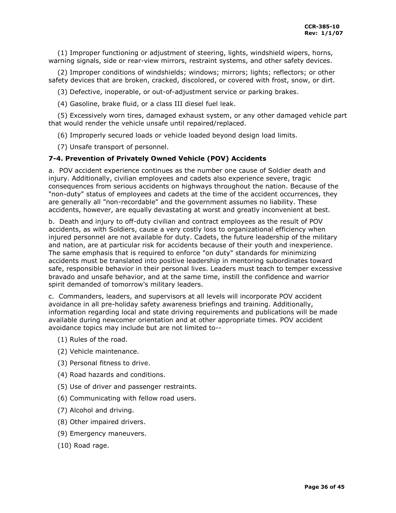(1) Improper functioning or adjustment of steering, lights, windshield wipers, horns, warning signals, side or rear-view mirrors, restraint systems, and other safety devices.

 (2) Improper conditions of windshields; windows; mirrors; lights; reflectors; or other safety devices that are broken, cracked, discolored, or covered with frost, snow, or dirt.

(3) Defective, inoperable, or out-of-adjustment service or parking brakes.

(4) Gasoline, brake fluid, or a class III diesel fuel leak.

 (5) Excessively worn tires, damaged exhaust system, or any other damaged vehicle part that would render the vehicle unsafe until repaired/replaced.

(6) Improperly secured loads or vehicle loaded beyond design load limits.

(7) Unsafe transport of personnel.

## <span id="page-35-0"></span>**7-4. Prevention of Privately Owned Vehicle (POV) Accidents**

a. POV accident experience continues as the number one cause of Soldier death and injury. Additionally, civilian employees and cadets also experience severe, tragic consequences from serious accidents on highways throughout the nation. Because of the "non-duty" status of employees and cadets at the time of the accident occurrences, they are generally all "non-recordable" and the government assumes no liability. These accidents, however, are equally devastating at worst and greatly inconvenient at best.

b. Death and injury to off-duty civilian and contract employees as the result of POV accidents, as with Soldiers, cause a very costly loss to organizational efficiency when injured personnel are not available for duty. Cadets, the future leadership of the military and nation, are at particular risk for accidents because of their youth and inexperience. The same emphasis that is required to enforce "on duty" standards for minimizing accidents must be translated into positive leadership in mentoring subordinates toward safe, responsible behavior in their personal lives. Leaders must teach to temper excessive bravado and unsafe behavior, and at the same time, instill the confidence and warrior spirit demanded of tomorrow's military leaders.

c. Commanders, leaders, and supervisors at all levels will incorporate POV accident avoidance in all pre-holiday safety awareness briefings and training. Additionally, information regarding local and state driving requirements and publications will be made available during newcomer orientation and at other appropriate times. POV accident avoidance topics may include but are not limited to--

- (1) Rules of the road.
- (2) Vehicle maintenance.
- (3) Personal fitness to drive.
- (4) Road hazards and conditions.
- (5) Use of driver and passenger restraints.
- (6) Communicating with fellow road users.
- (7) Alcohol and driving.
- (8) Other impaired drivers.
- (9) Emergency maneuvers.
- (10) Road rage.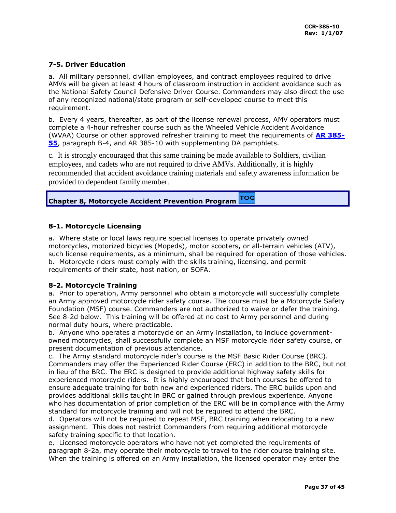## <span id="page-36-0"></span>**7-5. Driver Education**

a. All military personnel, civilian employees, and contract employees required to drive AMVs will be given at least 4 hours of classroom instruction in accident avoidance such as the National Safety Council Defensive Driver Course. Commanders may also direct the use of any recognized national/state program or self-developed course to meet this requirement.

b. Every 4 years, thereafter, as part of the license renewal process, AMV operators must complete a 4-hour refresher course such as the Wheeled Vehicle Accident Avoidance (WVAA) Course or other approved refresher training to meet the requirements of **[AR 385-](http://www.usapa.army.mil/pdffiles/r385_55.pdf) [55](http://www.usapa.army.mil/pdffiles/r385_55.pdf)**, paragraph B-4, and AR 385-10 with supplementing DA pamphlets.

c. It is strongly encouraged that this same training be made available to Soldiers, civilian employees, and cadets who are not required to drive AMVs. Additionally, it is highly recommended that accident avoidance training materials and safety awareness information be provided to dependent family member.

#### тос **Chapter 8, Motorcycle Accident Prevention Program**

## <span id="page-36-1"></span>**8-1. Motorcycle Licensing**

a. Where state or local laws require special licenses to operate privately owned motorcycles, motorized bicycles (Mopeds), motor scooters**,** or all-terrain vehicles (ATV), such license requirements, as a minimum, shall be required for operation of those vehicles. b. Motorcycle riders must comply with the skills training, licensing, and permit requirements of their state, host nation, or SOFA.

## <span id="page-36-2"></span>**8-2. Motorcycle Training**

a. Prior to operation, Army personnel who obtain a motorcycle will successfully complete an Army approved motorcycle rider safety course. The course must be a Motorcycle Safety Foundation (MSF) course. Commanders are not authorized to waive or defer the training. See 8-2d below. This training will be offered at no cost to Army personnel and during normal duty hours, where practicable.

b. Anyone who operates a motorcycle on an Army installation, to include governmentowned motorcycles, shall successfully complete an MSF motorcycle rider safety course, or present documentation of previous attendance.

c. The Army standard motorcycle rider's course is the MSF Basic Rider Course (BRC). Commanders may offer the Experienced Rider Course (ERC) in addition to the BRC, but not in lieu of the BRC. The ERC is designed to provide additional highway safety skills for experienced motorcycle riders. It is highly encouraged that both courses be offered to ensure adequate training for both new and experienced riders. The ERC builds upon and provides additional skills taught in BRC or gained through previous experience. Anyone who has documentation of prior completion of the ERC will be in compliance with the Army standard for motorcycle training and will not be required to attend the BRC.

d. Operators will not be required to repeat MSF, BRC training when relocating to a new assignment. This does not restrict Commanders from requiring additional motorcycle safety training specific to that location.

e. Licensed motorcycle operators who have not yet completed the requirements of paragraph 8-2a, may operate their motorcycle to travel to the rider course training site. When the training is offered on an Army installation, the licensed operator may enter the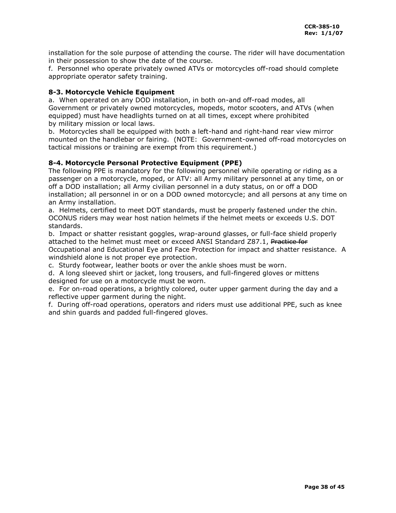installation for the sole purpose of attending the course. The rider will have documentation in their possession to show the date of the course.

f. Personnel who operate privately owned ATVs or motorcycles off-road should complete appropriate operator safety training.

## <span id="page-37-0"></span>**8-3. Motorcycle Vehicle Equipment**

a. When operated on any DOD installation, in both on-and off-road modes, all Government or privately owned motorcycles, mopeds, motor scooters, and ATVs (when equipped) must have headlights turned on at all times, except where prohibited by military mission or local laws.

b. Motorcycles shall be equipped with both a left-hand and right-hand rear view mirror mounted on the handlebar or fairing. (NOTE: Government-owned off-road motorcycles on tactical missions or training are exempt from this requirement.)

## <span id="page-37-1"></span>**8-4. Motorcycle Personal Protective Equipment (PPE)**

The following PPE is mandatory for the following personnel while operating or riding as a passenger on a motorcycle, moped, or ATV: all Army military personnel at any time, on or off a DOD installation; all Army civilian personnel in a duty status, on or off a DOD installation; all personnel in or on a DOD owned motorcycle; and all persons at any time on an Army installation.

a. Helmets, certified to meet DOT standards, must be properly fastened under the chin. OCONUS riders may wear host nation helmets if the helmet meets or exceeds U.S. DOT standards.

b. Impact or shatter resistant goggles, wrap-around glasses, or full-face shield properly attached to the helmet must meet or exceed ANSI Standard Z87.1, Practice for

Occupational and Educational Eye and Face Protection for impact and shatter resistance. A windshield alone is not proper eye protection.

c. Sturdy footwear, leather boots or over the ankle shoes must be worn.

d. A long sleeved shirt or jacket, long trousers, and full-fingered gloves or mittens designed for use on a motorcycle must be worn.

e. For on-road operations, a brightly colored, outer upper garment during the day and a reflective upper garment during the night.

f. During off-road operations, operators and riders must use additional PPE, such as knee and shin guards and padded full-fingered gloves.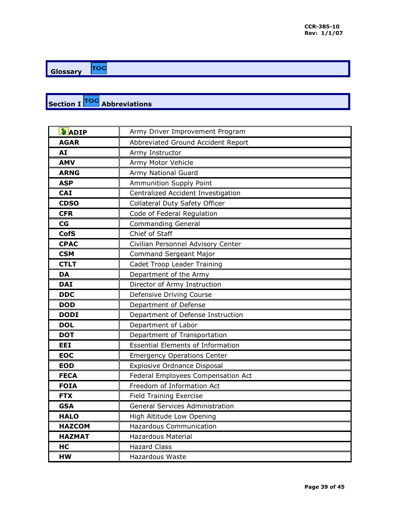<span id="page-38-0"></span>TOC **Glossary** 

## **Section I TOC** Abbreviations

| $\delta$ ADIP | Army Driver Improvement Program          |
|---------------|------------------------------------------|
| <b>AGAR</b>   | Abbreviated Ground Accident Report       |
| AI            | Army Instructor                          |
| <b>AMV</b>    | Army Motor Vehicle                       |
| <b>ARNG</b>   | Army National Guard                      |
| <b>ASP</b>    | <b>Ammunition Supply Point</b>           |
| <b>CAI</b>    | Centralized Accident Investigation       |
| <b>CDSO</b>   | Collateral Duty Safety Officer           |
| <b>CFR</b>    | Code of Federal Regulation               |
| CG            | <b>Commanding General</b>                |
| <b>CofS</b>   | Chief of Staff                           |
| <b>CPAC</b>   | Civilian Personnel Advisory Center       |
| <b>CSM</b>    | <b>Command Sergeant Major</b>            |
| <b>CTLT</b>   | Cadet Troop Leader Training              |
| <b>DA</b>     | Department of the Army                   |
| <b>DAI</b>    | Director of Army Instruction             |
| <b>DDC</b>    | Defensive Driving Course                 |
| <b>DOD</b>    | Department of Defense                    |
| <b>DODI</b>   | Department of Defense Instruction        |
| <b>DOL</b>    | Department of Labor                      |
| <b>DOT</b>    | Department of Transportation             |
| <b>EEI</b>    | <b>Essential Elements of Information</b> |
| <b>EOC</b>    | <b>Emergency Operations Center</b>       |
| <b>EOD</b>    | Explosive Ordnance Disposal              |
| <b>FECA</b>   | Federal Employees Compensation Act       |
| <b>FOIA</b>   | Freedom of Information Act               |
| <b>FTX</b>    | <b>Field Training Exercise</b>           |
| <b>GSA</b>    | <b>General Services Administration</b>   |
| <b>HALO</b>   | High Altitude Low Opening                |
| <b>HAZCOM</b> | <b>Hazardous Communication</b>           |
| <b>HAZMAT</b> | <b>Hazardous Material</b>                |
| HC            | <b>Hazard Class</b>                      |
| <b>HW</b>     | <b>Hazardous Waste</b>                   |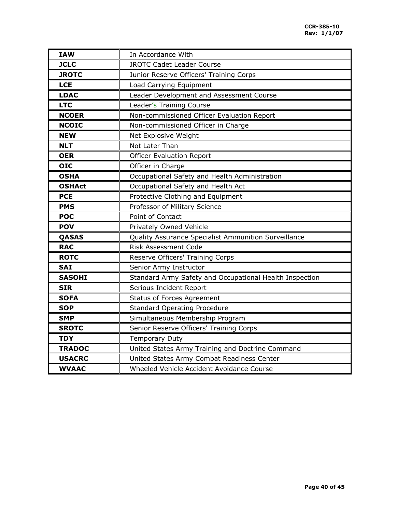| <b>IAW</b>    | In Accordance With                                      |
|---------------|---------------------------------------------------------|
| <b>JCLC</b>   | <b>JROTC Cadet Leader Course</b>                        |
| <b>JROTC</b>  | Junior Reserve Officers' Training Corps                 |
| <b>LCE</b>    | Load Carrying Equipment                                 |
| <b>LDAC</b>   | Leader Development and Assessment Course                |
| <b>LTC</b>    | Leader's Training Course                                |
| <b>NCOER</b>  | Non-commissioned Officer Evaluation Report              |
| <b>NCOIC</b>  | Non-commissioned Officer in Charge                      |
| <b>NEW</b>    | Net Explosive Weight                                    |
| <b>NLT</b>    | Not Later Than                                          |
| <b>OER</b>    | <b>Officer Evaluation Report</b>                        |
| <b>OIC</b>    | Officer in Charge                                       |
| <b>OSHA</b>   | Occupational Safety and Health Administration           |
| <b>OSHAct</b> | Occupational Safety and Health Act                      |
| <b>PCE</b>    | Protective Clothing and Equipment                       |
| <b>PMS</b>    | Professor of Military Science                           |
| <b>POC</b>    | Point of Contact                                        |
| <b>POV</b>    | Privately Owned Vehicle                                 |
| QASAS         | Quality Assurance Specialist Ammunition Surveillance    |
| <b>RAC</b>    | <b>Risk Assessment Code</b>                             |
| <b>ROTC</b>   | Reserve Officers' Training Corps                        |
| <b>SAI</b>    | Senior Army Instructor                                  |
| <b>SASOHI</b> | Standard Army Safety and Occupational Health Inspection |
| <b>SIR</b>    | Serious Incident Report                                 |
| <b>SOFA</b>   | <b>Status of Forces Agreement</b>                       |
| <b>SOP</b>    | <b>Standard Operating Procedure</b>                     |
| <b>SMP</b>    | Simultaneous Membership Program                         |
| <b>SROTC</b>  | Senior Reserve Officers' Training Corps                 |
| <b>TDY</b>    | <b>Temporary Duty</b>                                   |
| <b>TRADOC</b> | United States Army Training and Doctrine Command        |
| <b>USACRC</b> | United States Army Combat Readiness Center              |
| <b>WVAAC</b>  | Wheeled Vehicle Accident Avoidance Course               |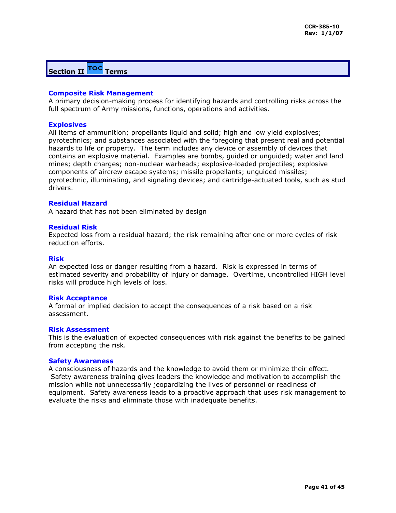## <span id="page-40-0"></span>**Section II TOC** Terms

## **Composite Risk Management**

A primary decision-making process for identifying hazards and controlling risks across the full spectrum of Army missions, functions, operations and activities.

## **Explosives**

All items of ammunition; propellants liquid and solid; high and low yield explosives; pyrotechnics; and substances associated with the foregoing that present real and potential hazards to life or property. The term includes any device or assembly of devices that contains an explosive material. Examples are bombs, guided or unguided; water and land mines; depth charges; non-nuclear warheads; explosive-loaded projectiles; explosive components of aircrew escape systems; missile propellants; unguided missiles; pyrotechnic, illuminating, and signaling devices; and cartridge-actuated tools, such as stud drivers.

## **Residual Hazard**

A hazard that has not been eliminated by design

## **Residual Risk**

Expected loss from a residual hazard; the risk remaining after one or more cycles of risk reduction efforts.

## **Risk**

An expected loss or danger resulting from a hazard. Risk is expressed in terms of estimated severity and probability of injury or damage. Overtime, uncontrolled HIGH level risks will produce high levels of loss.

### **Risk Acceptance**

A formal or implied decision to accept the consequences of a risk based on a risk assessment.

## **Risk Assessment**

This is the evaluation of expected consequences with risk against the benefits to be gained from accepting the risk.

### **Safety Awareness**

A consciousness of hazards and the knowledge to avoid them or minimize their effect. Safety awareness training gives leaders the knowledge and motivation to accomplish the mission while not unnecessarily jeopardizing the lives of personnel or readiness of equipment. Safety awareness leads to a proactive approach that uses risk management to evaluate the risks and eliminate those with inadequate benefits.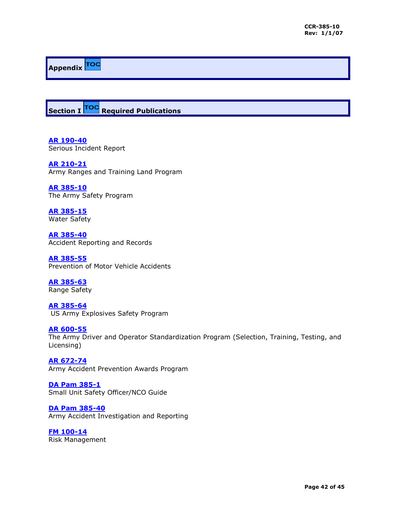# **Appendix**

<span id="page-41-0"></span>**Section I TOC** Required Publications

**[AR 190-40](http://books.usapa.belvoir.army.mil/cgi-bin/bookmgr/BOOKS/R190_40/CCONTENTS)** Serious Incident Report

**[AR 210-21](http://books.army.mil/cgi-bin/bookmgr/BOOKS/R210_21/CCONTENTS)** Army Ranges and Training Land Program

**[AR 385-10](http://www.usapa.army.mil/pdffiles/r385_10.pdf)** The Army Safety Program

**[AR 385-15](http://books.usapa.belvoir.army.mil/cgi-bin/bookmgr/BOOKS/P385_5/CCONTENTS)** Water Safety

**[AR 385-40](http://books.usapa.belvoir.army.mil/cgi-bin/bookmgr/BOOKS/P385_40/CCONTENTS)** Accident Reporting and Records

**[AR 385-55](http://books.usapa.belvoir.army.mil/cgi-bin/bookmgr/BOOKS/R385_55/CCONTENTS)** Prevention of Motor Vehicle Accidents

**[AR 385-63](http://books.usapa.belvoir.army.mil/cgi-bin/bookmgr/BOOKS/R385_63/CCONTENTS)** Range Safety

**[AR 385-64](http://books.usapa.belvoir.army.mil/cgi-bin/bookmgr/BOOKS/R385_64/CCONTENTS)** [U](http://books.usapa.belvoir.army.mil/cgi-bin/bookmgr/BOOKS/R385_64/CCONTENTS)S Army Explosives Safety Program

**[AR 600-55](http://www.usapa.army.mil/pdffiles/r600_55.pdf)** The Army Driver and Operator Standardization Program (Selection, Training, Testing, and Licensing)

**[AR 672-74](http://books.usapa.belvoir.army.mil/cgi-bin/bookmgr/BOOKS/R672_74/CCONTENTS)** Army Accident Prevention Awards Program

**[DA Pam 385-1](http://www.carson.army.mil/safety/menu385-1.html)** Small Unit Safety Officer/NCO Guide

**[DA Pam 385-40](http://books.usapa.belvoir.army.mil/cgi-bin/bookmgr/BOOKS/P385_40/CCONTENTS)** Army Accident Investigation and Reporting

**[FM 100-14](http://155.217.58.58/cgi-bin/atdl.dll/fm/100-14/default.htm)** Risk Management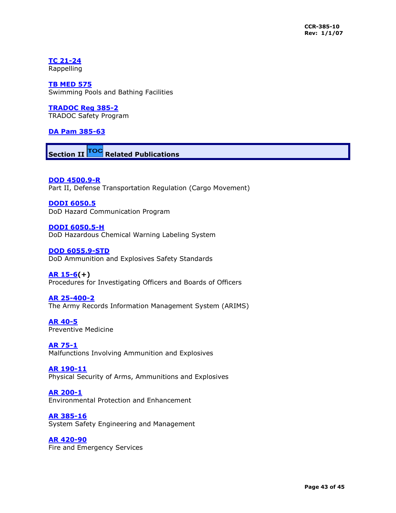**[TC 21-24](http://155.217.58.58/cgi-bin/atdl.dll/tc/21-24/toc.htm)**

Rappelling

**[TB MED 575](http://chppm-www.apgea.army.mil/imo/ddb/dmd/DMD/TBMEDS/tbmed575.pdf)** Swimming Pools and Bathing Facilities

**[TRADOC Reg 385-2](http://www-tradoc.army.mil/tpubs/regs/r385-2.htm)** TRADOC Safety Program

## **DA Pam 385-63**

<span id="page-42-0"></span>**Section II TOC** Related Publications

**[DOD 4500.9-R](http://public.transcom.mil/J4/j4lt/dtr.html)** Part II, Defense Transportation Regulation (Cargo Movement)

**[DODI 6050.5](https://www.denix.osd.mil/denix/Public/ES-Programs/Force/Safety/6050-5.html)** DoD Hazard Communication Program

**[DODI 6050.5-H](https://www.denix.osd.mil/denix/Public/Policy/Marine/5090.2A/ch8-9.html#Chapter%209)** DoD Hazardous Chemical Warning Labeling System

**[DOD 6055.9-STD](http://www.dtic.mil/whs/directives/corres/pdf/d60559_072996/d60559p.pdf)** DoD Ammunition and Explosives Safety Standards

**[AR 15-6\(](http://www.apg.army.mil/garrison/Legal_office/AR15_6_guide.htm)+)** Procedures for Investigating Officers and Boards of Officers

**[AR 25-400-2](http://www.usapa.army.mil/pdffiles/r25_400_2.pdf)** The Army Records Information Management System (ARIMS)

**[AR 40-5](http://books.usapa.belvoir.army.mil/cgi-bin/bookmgr/BOOKS/R40_5/CCONTENTS)** Preventive Medicine

**[AR 75-1](http://www.usapa.army.mil/pdffiles/r75_1.pdf)** Malfunctions Involving Ammunition and Explosives

**[AR 190-11](http://www.usapa.army.mil/pdffiles/r190_11.pdf)** Physical Security of Arms, Ammunitions and Explosives

**[AR 200-1](http://books.usapa.belvoir.army.mil/cgi-bin/bookmgr/BOOKS/R200_1/CCONTENTS)** Environmental Protection and Enhancement

**[AR 385-16](http://www.usapa.army.mil/pdffiles/r385_16.pdf)** System Safety Engineering and Management

**[AR 420-90](http://books.usapa.belvoir.army.mil/cgi-bin/bookmgr/BOOKS/R420_90/CCONTENTS)** Fire and Emergency Services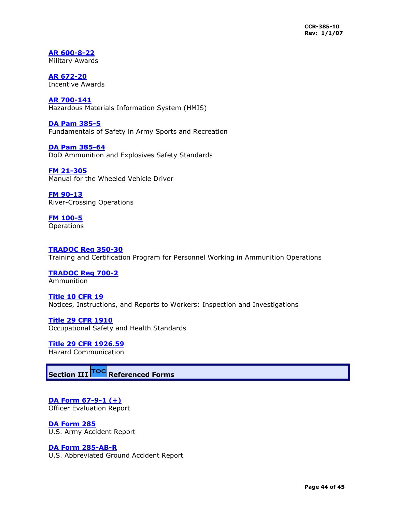**[AR 600-8-22](http://books.usapa.belvoir.army.mil/cgi-bin/bookmgr/BOOKS/R600_822/CCONTENTS)** Military Awards

**[AR 672-20](http://books.usapa.belvoir.army.mil/cgi-bin/bookmgr/BOOKS/R672_20/CCONTENTS)** Incentive Awards

**[AR 700-141](http://books.usapa.belvoir.army.mil/cgi-bin/bookmgr/BOOKS/R700_141/CCONTENTS)** Hazardous Materials Information System (HMIS)

**[DA Pam 385-5](http://books.usapa.belvoir.army.mil/cgi-bin/bookmgr/BOOKS/P385_5/CCONTENTS)** Fundamentals of Safety in Army Sports and Recreation

**[DA Pam 385-64](http://www.usapa.army.mil/pdffiles/p385_64.pdf)** DoD Ammunition and Explosives Safety Standards

**[FM 21-305](http://155.217.58.58/cgi-bin/atdl.dll/fm/21-305/toc.htm)** Manual for the Wheeled Vehicle Driver

**[FM 90-13](http://155.217.58.58/cgi-bin/atdl.dll/fm/90-13/tocfin.htm)** River-Crossing Operations

**FM 100-5 Operations** 

## **[TRADOC Reg 350-30](http://tradoc.monroe.army.mil/tpubs/regs/r350-30/r350-30.doc)**

Training and Certification Program for Personnel Working in Ammunition Operations

**[TRADOC Reg 700-2](http://tradoc.monroe.army.mil/tpubs/regs/7002frm.htm)** Ammunition

**[Title 10 CFR 19](http://www-acala1.ria.army.mil/LC/R/RS/postings.htm)** Notices, Instructions, and Reports to Workers: Inspection and Investigations

**[Title 29 CFR 1910](http://www.osha.gov/pls/oshaweb/owadisp.show_document?p_table=STANDARDS&p_id=9696&p_text_version=FALSE)** Occupational Safety and Health Standards

**[Title 29 CFR 1926.59](http://www.osha.gov/pls/oshaweb/owadisp.show_document?p_table=STANDARDS&p_id=9696&p_text_version=FALSE)** Hazard Communication

<span id="page-43-0"></span>**Section III Referenced Forms**

**DA Form 67-9-1 (+)** Officer Evaluation Report

**[DA Form 285](http://www.apd.army.mil/pub/eforms/pdf/a285a.pdf)** U.S. Army Accident Report

## **[DA Form 285-AB-R](http://www.apd.army.mil/pub/eforms/pdf/a285ab_r.pdf)**

U.S. Abbreviated Ground Accident Report